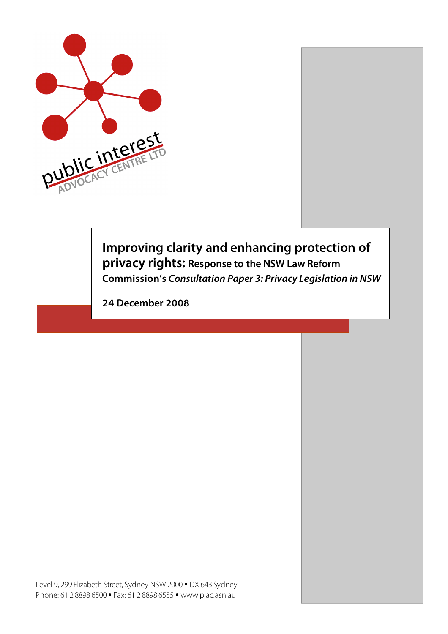

# **Improving clarity and enhancing protection of privacy rights: Response to the NSW Law Reform Commission's Consultation Paper 3: Privacy Legislation in NSW**

**24 December 2008**

Level 9, 299 Elizabeth Street, Sydney NSW 2000 • DX 643 Sydney Phone: 61 2 8898 6500 • Fax: 61 2 8898 6555 • www.piac.asn.au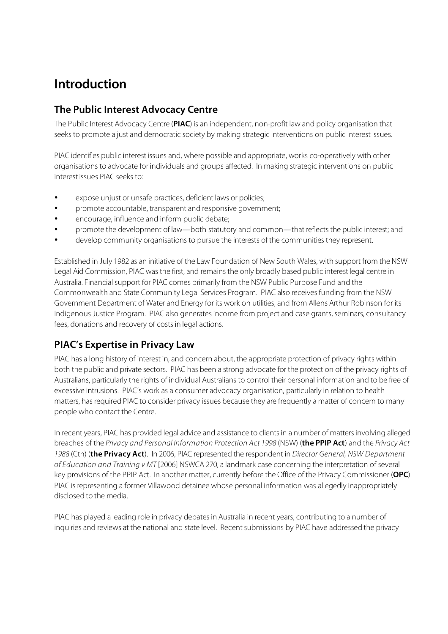# **Introduction**

# **The Public Interest Advocacy Centre**

The Public Interest Advocacy Centre (**PIAC**) is an independent, non-profit law and policy organisation that seeks to promote a just and democratic society by making strategic interventions on public interest issues.

PIAC identifies public interest issues and, where possible and appropriate, works co-operatively with other organisations to advocate for individuals and groups affected. In making strategic interventions on public interest issues PIAC seeks to:

- expose unjust or unsafe practices, deficient laws or policies;
- promote accountable, transparent and responsive government;
- encourage, influence and inform public debate;
- promote the development of law—both statutory and common—that reflects the public interest; and
- develop community organisations to pursue the interests of the communitiesthey represent.

Established in July 1982 as an initiative of the Law Foundation of New South Wales, with support from the NSW Legal Aid Commission, PIAC was the first, and remains the only broadly based public interest legal centre in Australia. Financial support for PIAC comes primarily from the NSW Public Purpose Fund and the Commonwealth and State Community Legal Services Program. PIAC also receives funding from the NSW Government Department of Water and Energy for its work on utilities, and from Allens Arthur Robinson for its Indigenous Justice Program. PIAC also generatesincome from project and case grants, seminars, consultancy fees, donations and recovery of costs in legal actions.

# **PIAC's Expertise in Privacy Law**

PIAC has a long history of interest in, and concern about, the appropriate protection of privacy rights within both the public and private sectors. PIAC has been a strong advocate for the protection of the privacy rights of Australians, particularly the rights of individual Australians to control their personal information and to be free of excessive intrusions. PIAC's work as a consumer advocacy organisation, particularly in relation to health matters, has required PIAC to consider privacy issues because they are frequently a matter of concern to many people who contact the Centre.

In recent years, PIAC has provided legal advice and assistance to clientsin a number of mattersinvolving alleged breaches of the Privacy and Personal Information Protection Act 1998 (NSW) (**the PPIP Act**) and the Privacy Act 1988 (Cth) (**the Privacy Act**). In 2006, PIAC represented the respondent in Director General, NSW Department of Education and Training v MT [2006] NSWCA 270, a landmark case concerning the interpretation of several key provisions of the PPIP Act. In another matter, currently before the Office of the Privacy Commissioner (**OPC**) PIAC isrepresenting a former Villawood detainee whose personal information was allegedly inappropriately disclosed to the media.

PIAC has played a leading role in privacy debates in Australia in recent years, contributing to a number of inquiries and reviews at the national and state level. Recent submissions by PIAC have addressed the privacy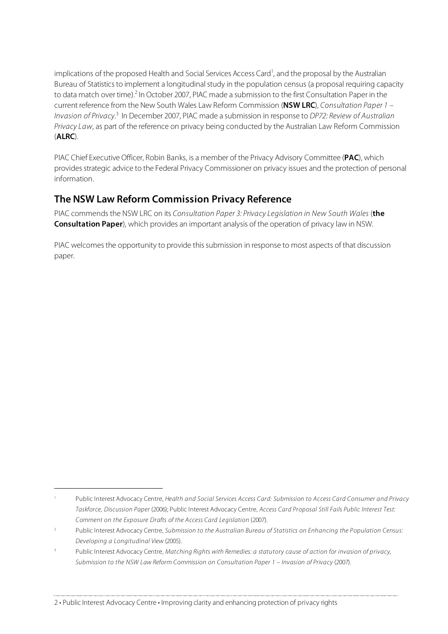implications of the proposed Health and Social Services Access Card<sup>1</sup>, and the proposal by the Australian Bureau of Statisticsto implement a longitudinal study in the population census (a proposal requiring capacity to data match over time).<sup>2</sup> In October 2007, PIAC made a submission to the first Consultation Paper in the current reference from the New South Wales Law Reform Commission (**NSW LRC**), Consultation Paper 1 – Invasion of Privacy.<sup>3</sup> In December 2007, PIAC made a submission in response to DP72: Review of Australian Privacy Law, as part of the reference on privacy being conducted by the Australian Law Reform Commission (**ALRC**).

PIAC Chief Executive Officer, Robin Banks, is a member of the Privacy Advisory Committee (**PAC**), which provides strategic advice to the Federal Privacy Commissioner on privacy issues and the protection of personal information.

### **The NSW Law Reform Commission Privacy Reference**

PIAC commends the NSW LRC on its Consultation Paper 3: Privacy Legislation in New South Wales (**the Consultation Paper**), which provides an important analysis of the operation of privacy law in NSW.

PIAC welcomes the opportunity to provide this submission in response to most aspects of that discussion paper.

 $\overline{a}$ 

Public Interest Advocacy Centre, Health and Social Services Access Card: Submission to Access Card Consumer and Privacy Taskforce, Discussion Paper (2006); Public Interest Advocacy Centre, Access Card Proposal Still Fails Public Interest Test: Comment on the Exposure Drafts of the Access Card Legislation (2007).

Public Interest Advocacy Centre, Submission to the Australian Bureau of Statistics on Enhancing the Population Census: Developing a Longitudinal View (2005).

Public Interest Advocacy Centre, Matching Rights with Remedies: a statutory cause of action for invasion of privacy, Submission to the NSW Law Reform Commission on Consultation Paper 1 – Invasion of Privacy (2007).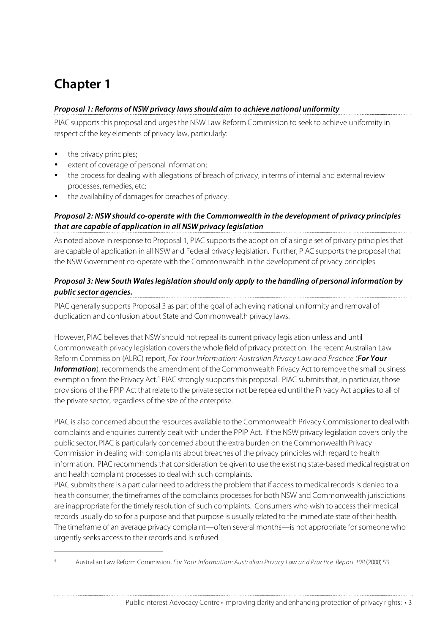# **Chapter 1**

### **Proposal 1: Reforms of NSW privacy lawsshould aim to achieve national uniformity**

PIAC supports this proposal and urges the NSW Law Reform Commission to seek to achieve uniformity in respect of the key elements of privacy law, particularly:

the privacy principles:

 $\overline{a}$ 

- extent of coverage of personal information;
- the process for dealing with allegations of breach of privacy, in terms of internal and external review processes, remedies, etc;
- the availability of damages for breaches of privacy.

#### **Proposal 2: NSW should co-operate with the Commonwealth in the development of privacy principles that are capable of application in all NSW privacy legislation**

As noted above in response to Proposal 1, PIAC supports the adoption of a single set of privacy principles that are capable of application in all NSW and Federal privacy legislation. Further, PIAC supportsthe proposal that the NSW Government co-operate with the Commonwealth in the development of privacy principles.

#### **Proposal 3: New South Waleslegislation should only apply to the handling of personal information by public sector agencies.**

PIAC generally supports Proposal 3 as part of the goal of achieving national uniformity and removal of duplication and confusion about State and Commonwealth privacy laws.

However, PIAC believesthat NSW should not repeal its current privacy legislation unless and until Commonwealth privacy legislation coversthe whole field of privacy protection. The recent Australian Law Reform Commission (ALRC) report, For Your Information: Australian Privacy Law and Practice (**For Your Information**), recommends the amendment of the Commonwealth Privacy Act to remove the small business exemption from the Privacy Act.<sup>4</sup> PIAC strongly supports this proposal. PIAC submits that, in particular, those provisions of the PPIP Act that relate to the private sector not be repealed until the Privacy Act appliesto all of the private sector, regardless of the size of the enterprise.

PIAC is also concerned about the resources available to the Commonwealth Privacy Commissioner to deal with complaints and enquiries currently dealt with under the PPIP Act. If the NSW privacy legislation covers only the public sector, PIAC is particularly concerned about the extra burden on the Commonwealth Privacy Commission in dealing with complaints about breaches of the privacy principles with regard to health information. PIAC recommends that consideration be given to use the existing state-based medical registration and health complaint processesto deal with such complaints.

PIAC submits there is a particular need to address the problem that if access to medical records is denied to a health consumer, the timeframes of the complaints processes for both NSW and Commonwealth jurisdictions are inappropriate for the timely resolution of such complaints. Consumers who wish to access their medical records usually do so for a purpose and that purpose is usually related to the immediate state of their health. The timeframe of an average privacy complaint—often several months—is not appropriate for someone who urgently seeks access to their records and is refused.

<sup>4</sup> Australian Law Reform Commission, For Your Information: Australian Privacy Law and Practice. Report 108 (2008) 53.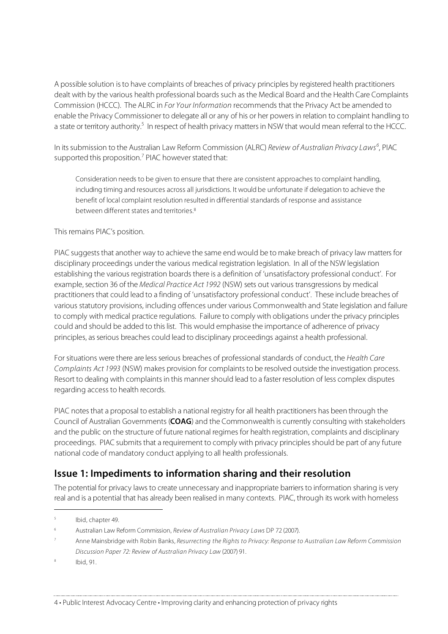A possible solution isto have complaints of breaches of privacy principles by registered health practitioners dealt with by the various health professional boards such as the Medical Board and the Health Care Complaints Commission (HCCC). The ALRC in For Your Information recommends that the Privacy Act be amended to enable the Privacy Commissioner to delegate all or any of his or her powersin relation to complaint handling to a state or territory authority.<sup>5</sup> In respect of health privacy matters in NSW that would mean referral to the HCCC.

In its submission to the Australian Law Reform Commission (ALRC) Review of Australian Privacy Laws<sup>6</sup>, PIAC supported this proposition.<sup>7</sup> PIAC however stated that:

Consideration needs to be given to ensure that there are consistent approaches to complaint handling, including timing and resources across all jurisdictions. It would be unfortunate if delegation to achieve the benefit of local complaint resolution resulted in differential standards of response and assistance between different states and territories. 8

This remains PIAC's position.

PIAC suggests that another way to achieve the same end would be to make breach of privacy law matters for disciplinary proceedings under the various medical registration legislation. In all of the NSW legislation establishing the various registration boards there is a definition of 'unsatisfactory professional conduct'. For example, section 36 of the Medical Practice Act 1992 (NSW) sets out various transgressions by medical practitionersthat could lead to a finding of 'unsatisfactory professional conduct'. These include breaches of various statutory provisions, including offences under various Commonwealth and State legislation and failure to comply with medical practice regulations. Failure to comply with obligations under the privacy principles could and should be added to thislist. This would emphasise the importance of adherence of privacy principles, asserious breaches could lead to disciplinary proceedings against a health professional.

For situations were there are less serious breaches of professional standards of conduct, the Health Care Complaints Act 1993 (NSW) makes provision for complaints to be resolved outside the investigation process. Resort to dealing with complaints in this manner should lead to a faster resolution of less complex disputes regarding access to health records.

PIAC notes that a proposal to establish a national registry for all health practitioners has been through the Council of Australian Governments (**COAG**) and the Commonwealth is currently consulting with stakeholders and the public on the structure of future national regimes for health registration, complaints and disciplinary proceedings. PIAC submits that a requirement to comply with privacy principles should be part of any future national code of mandatory conduct applying to all health professionals.

### **Issue 1: Impediments to information sharing and their resolution**

The potential for privacy laws to create unnecessary and inappropriate barriersto information sharing is very real and is a potential that has already been realised in many contexts. PIAC, through its work with homeless

 <sup>5</sup> Ibid, chapter 49.

<sup>6</sup> Australian Law Reform Commission, Review of Australian Privacy Laws DP 72 (2007).

Anne Mainsbridge with Robin Banks, Resurrecting the Rights to Privacy: Response to Australian Law Reform Commission Discussion Paper 72: Review of Australian Privacy Law (2007) 91.

Ibid, 91.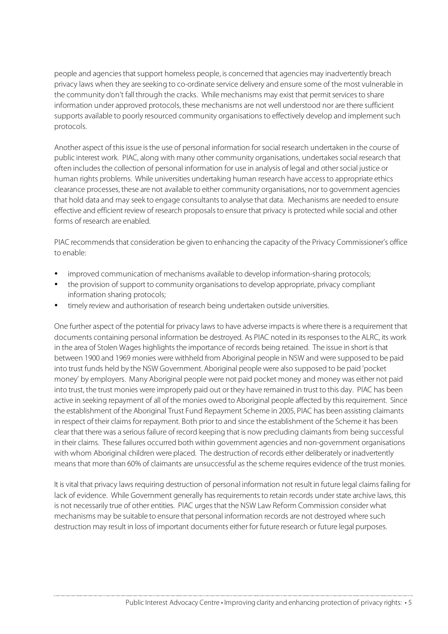people and agencies that support homeless people, is concerned that agencies may inadvertently breach privacy laws when they are seeking to co-ordinate service delivery and ensure some of the most vulnerable in the community don't fall through the cracks. While mechanisms may exist that permit services to share information under approved protocols, these mechanisms are not well understood nor are there sufficient supports available to poorly resourced community organisations to effectively develop and implement such protocols.

Another aspect of this issue is the use of personal information for social research undertaken in the course of public interest work. PIAC, along with many other community organisations, undertakes social research that often includesthe collection of personal information for use in analysis of legal and othersocial justice or human rights problems. While universities undertaking human research have accessto appropriate ethics clearance processes, these are not available to either community organisations, nor to government agencies that hold data and may seek to engage consultants to analyse that data. Mechanisms are needed to ensure effective and efficient review of research proposalsto ensure that privacy is protected while social and other forms of research are enabled.

PIAC recommends that consideration be given to enhancing the capacity of the Privacy Commissioner's office to enable:

- improved communication of mechanisms available to develop information-sharing protocols;
- the provision of support to community organisations to develop appropriate, privacy compliant information sharing protocols;
- timely review and authorisation of research being undertaken outside universities.

One further aspect of the potential for privacy laws to have adverse impactsis where there is a requirement that documents containing personal information be destroyed. As PIAC noted in itsresponsesto the ALRC, its work in the area of Stolen Wages highlights the importance of records being retained. The issue in short is that between 1900 and 1969 monies were withheld from Aboriginal people in NSW and were supposed to be paid into trust funds held by the NSW Government. Aboriginal people were also supposed to be paid 'pocket money' by employers. Many Aboriginal people were not paid pocket money and money was either not paid into trust, the trust monies were improperly paid out or they have remained in trust to this day. PIAC has been active in seeking repayment of all of the monies owed to Aboriginal people affected by thisrequirement. Since the establishment of the Aboriginal Trust Fund Repayment Scheme in 2005, PIAC has been assisting claimants in respect of their claims for repayment. Both prior to and since the establishment of the Scheme it has been clear that there was a serious failure of record keeping that is now precluding claimants from being successful in their claims. These failures occurred both within government agencies and non-government organisations with whom Aboriginal children were placed. The destruction of records either deliberately or inadvertently means that more than 60% of claimants are unsuccessful as the scheme requires evidence of the trust monies.

It is vital that privacy laws requiring destruction of personal information not result in future legal claims failing for lack of evidence. While Government generally has requirements to retain records under state archive laws, this is not necessarily true of other entities. PIAC urges that the NSW Law Reform Commission consider what mechanisms may be suitable to ensure that personal information records are not destroyed where such destruction may result in loss of important documents either for future research or future legal purposes.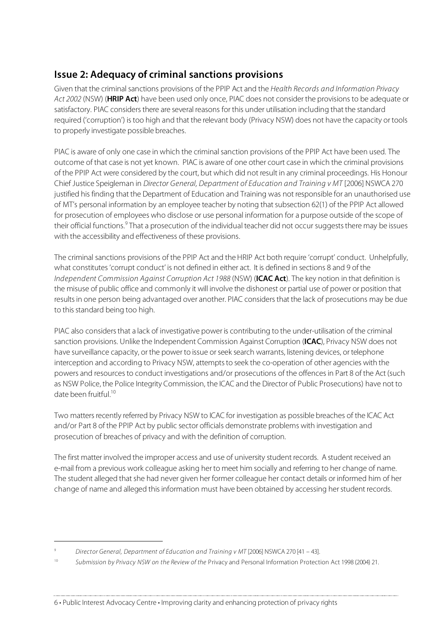# **Issue 2: Adequacy of criminal sanctions provisions**

Given that the criminal sanctions provisions of the PPIP Act and the Health Records and Information Privacy Act 2002 (NSW) (**HRIP Act**) have been used only once, PIAC does not consider the provisions to be adequate or satisfactory. PIAC considers there are several reasons for this under utilisation including that the standard required ('corruption') istoo high and that the relevant body (Privacy NSW) does not have the capacity or tools to properly investigate possible breaches.

PIAC is aware of only one case in which the criminal sanction provisions of the PPIP Act have been used. The outcome of that case is not yet known. PIAC is aware of one other court case in which the criminal provisions of the PPIP Act were considered by the court, but which did not result in any criminal proceedings. His Honour Chief Justice Speigleman in Director General, Department of Education and Training v MT [2006] NSWCA 270 justified his finding that the Department of Education and Training was not responsible for an unauthorised use of MT's personal information by an employee teacher by noting thatsubsection 62(1) of the PPIP Act allowed for prosecution of employees who disclose or use personal information for a purpose outside of the scope of their official functions.<sup>9</sup> That a prosecution of the individual teacher did not occur suggests there may be issues with the accessibility and effectiveness of these provisions.

The criminal sanctions provisions of the PPIP Act and the HRIP Act both require 'corrupt' conduct. Unhelpfully, what constitutes'corrupt conduct' is not defined in either act. It is defined in sections 8 and 9 of the Independent Commission Against Corruption Act 1988 (NSW) (**ICAC Act**). The key notion in that definition is the misuse of public office and commonly it will involve the dishonest or partial use of power or position that results in one person being advantaged over another. PIAC considers that the lack of prosecutions may be due to this standard being too high.

PIAC also considers that a lack of investigative power is contributing to the under-utilisation of the criminal sanction provisions. Unlike the Independent Commission Against Corruption (**ICAC**), Privacy NSW does not have surveillance capacity, or the power to issue or seek search warrants, listening devices, or telephone interception and according to Privacy NSW, attempts to seek the co-operation of other agencies with the powers and resources to conduct investigations and/or prosecutions of the offences in Part 8 of the Act (such as NSW Police, the Police Integrity Commission, the ICAC and the Director of Public Prosecutions) have not to date been fruitful. 10

Two matters recently referred by Privacy NSW to ICAC for investigation as possible breaches of the ICAC Act and/or Part 8 of the PPIP Act by public sector officials demonstrate problems with investigation and prosecution of breaches of privacy and with the definition of corruption.

The first matter involved the improper access and use of university student records. A student received an e-mail from a previous work colleague asking her to meet him socially and referring to her change of name. The student alleged that she had never given her former colleague her contact details or informed him of her change of name and alleged this information must have been obtained by accessing her student records.

j

<sup>9</sup> Director General, Department of Education and Training v MT [2006] NSWCA 270 [41 – 43].

<sup>&</sup>lt;sup>10</sup> Submission by Privacy NSW on the Review of the Privacy and Personal Information Protection Act 1998 (2004) 21.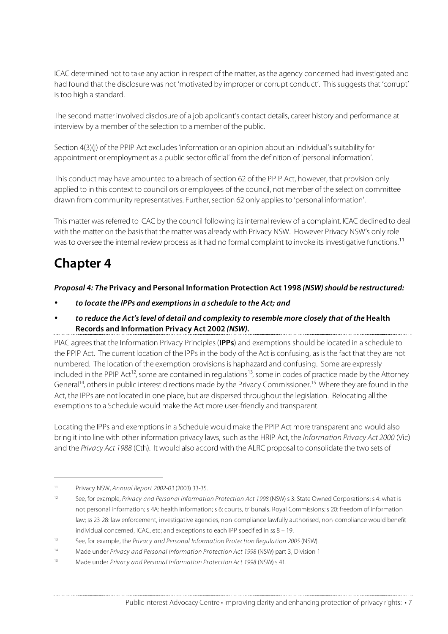ICAC determined not to take any action in respect of the matter, asthe agency concerned had investigated and had found that the disclosure was not 'motivated by improper or corrupt conduct'. This suggests that 'corrupt' is too high a standard.

The second matter involved disclosure of a job applicant's contact details, career history and performance at interview by a member of the selection to a member of the public.

Section 4(3)(j) of the PPIP Act excludes 'information or an opinion about an individual's suitability for appointment or employment as a public sector official' from the definition of 'personal information'.

This conduct may have amounted to a breach of section 62 of the PPIP Act, however, that provision only applied to in this context to councillors or employees of the council, not member of the selection committee drawn from community representatives. Further, section 62 only applies to 'personal information'.

This matter was referred to ICAC by the council following its internal review of a complaint. ICAC declined to deal with the matter on the basis that the matter was already with Privacy NSW. However Privacy NSW's only role was to oversee the internal review process as it had no formal complaint to invoke its investigative functions.<sup>11</sup>

# **Chapter 4**

#### **Proposal 4: The Privacy and Personal Information Protection Act 1998 (NSW)should be restructured:**

- **to locate the IPPs and exemptionsin a schedule to the Act; and**
- **to reduce the Act'slevel of detail and complexity to resemble more closely that of the Health Records and Information Privacy Act 2002 (NSW).**

PIAC agreesthat the Information Privacy Principles(**IPPs**) and exemptions should be located in a schedule to the PPIP Act. The current location of the IPPs in the body of the Act is confusing, as isthe fact that they are not numbered. The location of the exemption provisions is haphazard and confusing. Some are expressly included in the PPIP Act<sup>12</sup>, some are contained in regulations<sup>13</sup>, some in codes of practice made by the Attorney General<sup>14</sup>, others in public interest directions made by the Privacy Commissioner.<sup>15</sup> Where they are found in the Act, the IPPs are not located in one place, but are dispersed throughout the legislation. Relocating all the exemptions to a Schedule would make the Act more user-friendly and transparent.

Locating the IPPs and exemptions in a Schedule would make the PPIP Act more transparent and would also bring it into line with other information privacy laws, such asthe HRIP Act, the Information Privacy Act 2000 (Vic) and the Privacy Act 1988 (Cth). It would also accord with the ALRC proposal to consolidate the two sets of

 <sup>11</sup> Privacy NSW, Annual Report 2002-03 (2003) 33-35.

<sup>&</sup>lt;sup>12</sup> See, for example, Privacy and Personal Information Protection Act 1998 (NSW) s 3: State Owned Corporations; s 4: what is not personal information; s 4A: health information; s 6: courts, tribunals, Royal Commissions; s 20: freedom of information law; ss 23-28: law enforcement, investigative agencies, non-compliance lawfully authorised, non-compliance would benefit individual concerned, ICAC, etc; and exceptions to each IPP specified in ss 8 – 19.

 $13$  See, for example, the Privacy and Personal Information Protection Regulation 2005 (NSW).

<sup>&</sup>lt;sup>14</sup> Made under Privacy and Personal Information Protection Act 1998 (NSW) part 3, Division 1

<sup>&</sup>lt;sup>15</sup> Made under Privacy and Personal Information Protection Act 1998 (NSW) s 41.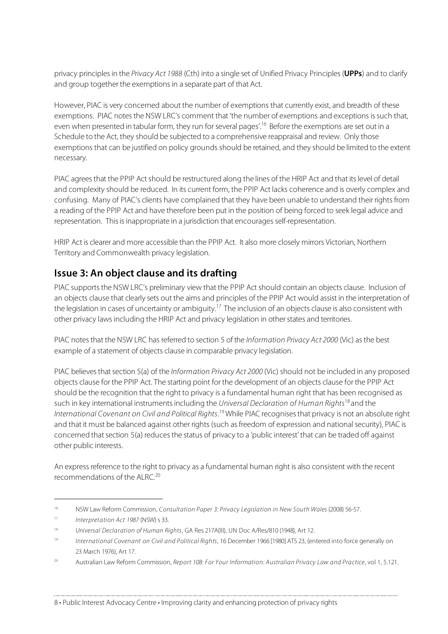privacy principlesin the Privacy Act 1988 (Cth) into a single set of Unified Privacy Principles (**UPPs**) and to clarify and group together the exemptions in a separate part of that Act.

However, PIAC is very concerned about the number of exemptions that currently exist, and breadth of these exemptions. PIAC notes the NSW LRC's comment that 'the number of exemptions and exceptions is such that, even when presented in tabular form, they run for several pages'.<sup>16</sup> Before the exemptions are set out in a Schedule to the Act, they should be subjected to a comprehensive reappraisal and review. Only those exemptions that can be justified on policy grounds should be retained, and they should be limited to the extent necessary.

PIAC agrees that the PPIP Act should be restructured along the lines of the HRIP Act and that its level of detail and complexity should be reduced. In its current form, the PPIP Act lacks coherence and is overly complex and confusing. Many of PIAC's clients have complained that they have been unable to understand their rights from a reading of the PPIP Act and have therefore been put in the position of being forced to seek legal advice and representation. This is inappropriate in a jurisdiction that encourages self-representation.

HRIP Act is clearer and more accessible than the PPIP Act. It also more closely mirrors Victorian, Northern Territory and Commonwealth privacy legislation.

# **Issue 3: An object clause and its drafting**

PIAC supports the NSW LRC's preliminary view that the PPIP Act should contain an objects clause. Inclusion of an objects clause that clearly sets out the aims and principles of the PPIP Act would assist in the interpretation of the legislation in cases of uncertainty or ambiguity.<sup>17</sup> The inclusion of an objects clause is also consistent with other privacy laws including the HRIP Act and privacy legislation in otherstates and territories.

PIAC notes that the NSW LRC has referred to section 5 of the Information Privacy Act 2000 (Vic) as the best example of a statement of objects clause in comparable privacy legislation.

PIAC believes that section 5(a) of the *Information Privacy Act 2000* (Vic) should not be included in any proposed objects clause for the PPIP Act. The starting point for the development of an objects clause for the PPIP Act should be the recognition that the right to privacy is a fundamental human right that has been recognised as such in key international instruments including the Universal Declaration of Human Rights<sup>18</sup> and the International Covenant on Civil and Political Rights.<sup>19</sup> While PIAC recognises that privacy is not an absolute right and that it must be balanced against other rights (such asfreedom of expression and national security), PIAC is concerned thatsection 5(a) reducesthe status of privacy to a 'public interest' that can be traded off against other public interests.

An expressreference to the right to privacy as a fundamental human right is also consistent with the recent recommendations of the ALRC. 20

 $\overline{a}$ 

<sup>&</sup>lt;sup>16</sup> NSW Law Reform Commission, Consultation Paper 3: Privacy Legislation in New South Wales (2008) 56-57.

<sup>&</sup>lt;sup>17</sup> Interpretation Act 1987 (NSW) s 33.

<sup>&</sup>lt;sup>18</sup> Universal Declaration of Human Rights, GA Res 217A(III), UN Doc A/Res/810 (1948), Art 12.

<sup>&</sup>lt;sup>19</sup> International Covenant on Civil and Political Rights, 16 December 1966 [1980] ATS 23, (entered into force generally on 23 March 1976), Art 17.

<sup>&</sup>lt;sup>20</sup> Australian Law Reform Commission, Report 108: For Your Information: Australian Privacy Law and Practice, vol 1, 5.121.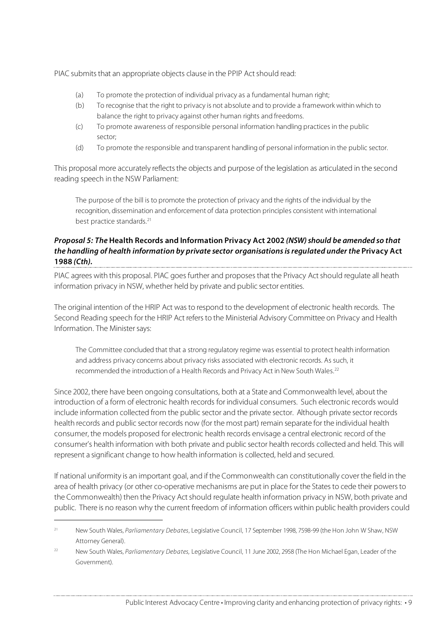PIAC submits that an appropriate objects clause in the PPIP Act should read:

- (a) To promote the protection of individual privacy as a fundamental human right;
- (b) To recognise that the right to privacy is not absolute and to provide a framework within which to balance the right to privacy against other human rights and freedoms.
- (c) To promote awareness of responsible personal information handling practices in the public sector;
- (d) To promote the responsible and transparent handling of personal information in the public sector.

This proposal more accurately reflects the objects and purpose of the legislation as articulated in the second reading speech in the NSW Parliament:

The purpose of the bill is to promote the protection of privacy and the rights of the individual by the recognition, dissemination and enforcement of data protection principles consistent with international best practice standards. 21

#### **Proposal 5: The Health Records and Information Privacy Act 2002 (NSW)should be amended so that the handling of health information by private sector organisationsisregulated under the Privacy Act 1988 (Cth).**

PIAC agrees with this proposal. PIAC goes further and proposes that the Privacy Act should regulate all heath information privacy in NSW, whether held by private and public sector entities.

The original intention of the HRIP Act was to respond to the development of electronic health records. The Second Reading speech for the HRIP Act refers to the Ministerial Advisory Committee on Privacy and Health Information. The Minister says:

The Committee concluded that that a strong regulatory regime was essential to protect health information and address privacy concerns about privacy risks associated with electronic records. As such, it recommended the introduction of a Health Records and Privacy Act in New South Wales. 22

Since 2002, there have been ongoing consultations, both at a State and Commonwealth level, about the introduction of a form of electronic health records for individual consumers. Such electronic records would include information collected from the public sector and the private sector. Although private sector records health records and public sector records now (for the most part) remain separate for the individual health consumer, the models proposed for electronic health records envisage a central electronic record of the consumer's health information with both private and public sector health records collected and held. This will represent a significant change to how health information is collected, held and secured.

If national uniformity is an important goal, and if the Commonwealth can constitutionally cover the field in the area of health privacy (or other co-operative mechanisms are put in place for the States to cede their powers to the Commonwealth) then the Privacy Act should regulate health information privacy in NSW, both private and public. There is no reason why the current freedom of information officers within public health providers could

 $\overline{a}$ 

<sup>&</sup>lt;sup>21</sup> New South Wales, Parliamentary Debates, Legislative Council, 17 September 1998, 7598-99 (the Hon John W Shaw, NSW Attorney General).

<sup>&</sup>lt;sup>22</sup> New South Wales, Parliamentary Debates, Legislative Council, 11 June 2002, 2958 (The Hon Michael Egan, Leader of the Government).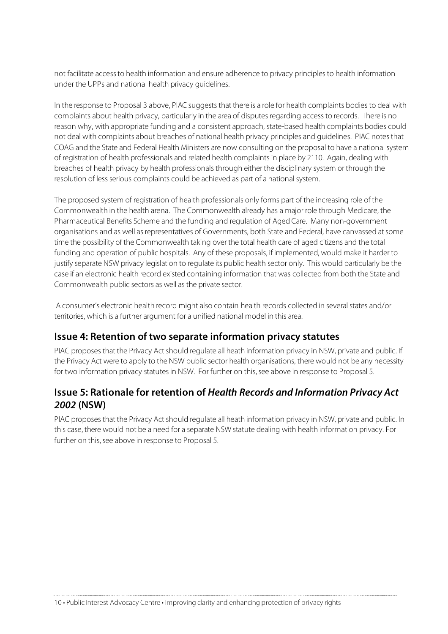not facilitate accessto health information and ensure adherence to privacy principlesto health information under the UPPs and national health privacy guidelines.

In the response to Proposal 3 above, PIAC suggests that there is a role for health complaints bodies to deal with complaints about health privacy, particularly in the area of disputesregarding accessto records. There is no reason why, with appropriate funding and a consistent approach, state-based health complaints bodies could not deal with complaints about breaches of national health privacy principles and guidelines. PIAC notesthat COAG and the State and Federal Health Ministers are now consulting on the proposal to have a national system of registration of health professionals and related health complaintsin place by 2110. Again, dealing with breaches of health privacy by health professionals through either the disciplinary system or through the resolution of less serious complaints could be achieved as part of a national system.

The proposed system of registration of health professionals only forms part of the increasing role of the Commonwealth in the health arena. The Commonwealth already has a major role through Medicare, the Pharmaceutical Benefits Scheme and the funding and regulation of Aged Care. Many non-government organisations and as well as representatives of Governments, both State and Federal, have canvassed at some time the possibility of the Commonwealth taking over the total health care of aged citizens and the total funding and operation of public hospitals. Any of these proposals, if implemented, would make it harder to justify separate NSW privacy legislation to regulate its public health sector only. This would particularly be the case if an electronic health record existed containing information that was collected from both the State and Commonwealth public sectors as well asthe private sector.

A consumer's electronic health record might also contain health records collected in several states and/or territories, which is a further argument for a unified national model in this area.

### **Issue 4: Retention of two separate information privacy statutes**

PIAC proposes that the Privacy Act should regulate all heath information privacy in NSW, private and public. If the Privacy Act were to apply to the NSW public sector health organisations, there would not be any necessity for two information privacy statutes in NSW. For further on this, see above in response to Proposal 5.

### **Issue 5: Rationale for retention of Health Records and Information Privacy Act 2002 (NSW)**

PIAC proposes that the Privacy Act should regulate all heath information privacy in NSW, private and public. In this case, there would not be a need for a separate NSW statute dealing with health information privacy. For further on this, see above in response to Proposal 5.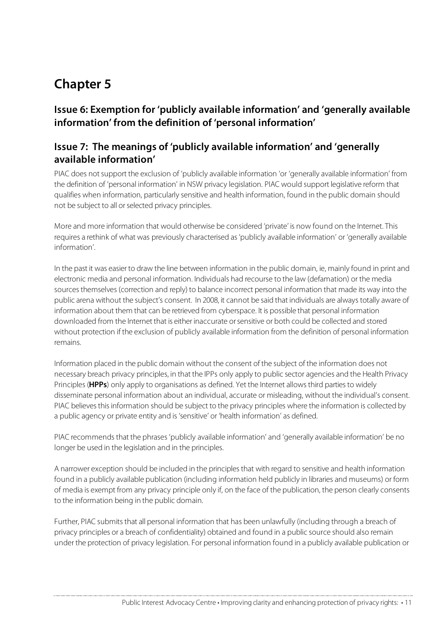# **Chapter 5**

# **Issue 6: Exemption for 'publicly available information' and 'generally available information' from the definition of 'personal information'**

# **Issue 7: The meanings of 'publicly available information' and 'generally available information'**

PIAC does not support the exclusion of 'publicly available information 'or 'generally available information' from the definition of 'personal information' in NSW privacy legislation. PIAC would support legislative reform that qualifies when information, particularly sensitive and health information, found in the public domain should not be subject to all or selected privacy principles.

More and more information that would otherwise be considered 'private' is now found on the Internet. This requires a rethink of what was previously characterised as'publicly available information' or 'generally available information'.

In the past it was easier to draw the line between information in the public domain, ie, mainly found in print and electronic media and personal information. Individuals had recourse to the law (defamation) or the media sources themselves (correction and reply) to balance incorrect personal information that made its way into the public arena without the subject's consent. In 2008, it cannot be said that individuals are always totally aware of information about them that can be retrieved from cyberspace. It is possible that personal information downloaded from the Internet that is either inaccurate orsensitive or both could be collected and stored without protection if the exclusion of publicly available information from the definition of personal information remains.

Information placed in the public domain without the consent of the subject of the information does not necessary breach privacy principles, in that the IPPs only apply to public sector agencies and the Health Privacy Principles (**HPPs**) only apply to organisations as defined. Yet the Internet allowsthird partiesto widely disseminate personal information about an individual, accurate or misleading, without the individual's consent. PIAC believes this information should be subject to the privacy principles where the information is collected by a public agency or private entity and is 'sensitive' or 'health information' as defined.

PIAC recommends that the phrases 'publicly available information' and 'generally available information' be no longer be used in the legislation and in the principles.

A narrower exception should be included in the principlesthat with regard to sensitive and health information found in a publicly available publication (including information held publicly in libraries and museums) or form of media is exempt from any privacy principle only if, on the face of the publication, the person clearly consents to the information being in the public domain.

Further, PIAC submits that all personal information that has been unlawfully (including through a breach of privacy principles or a breach of confidentiality) obtained and found in a public source should also remain under the protection of privacy legislation. For personal information found in a publicly available publication or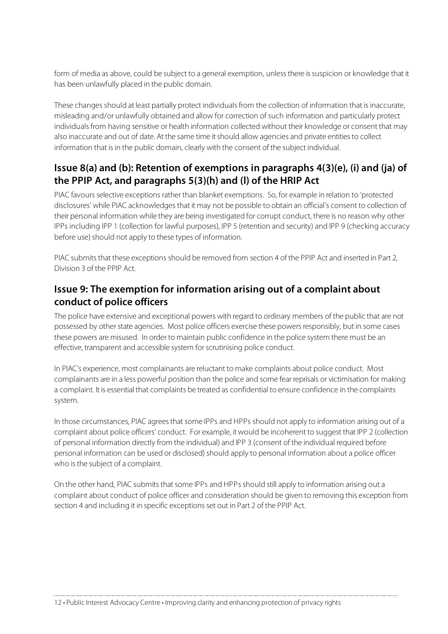form of media as above, could be subject to a general exemption, unless there is suspicion or knowledge that it has been unlawfully placed in the public domain.

These changes should at least partially protect individuals from the collection of information that is inaccurate, misleading and/or unlawfully obtained and allow for correction of such information and particularly protect individualsfrom having sensitive or health information collected without their knowledge or consent that may also inaccurate and out of date. At the same time it should allow agencies and private entities to collect information that is in the public domain, clearly with the consent of the subject individual.

# **Issue 8(a) and (b): Retention of exemptions in paragraphs 4(3)(e), (i) and (ja) of the PPIP Act, and paragraphs 5(3)(h) and (l) of the HRIP Act**

PIAC favours selective exceptions rather than blanket exemptions. So, for example in relation to 'protected disclosures' while PIAC acknowledgesthat it may not be possible to obtain an official's consent to collection of their personal information while they are being investigated for corrupt conduct, there is no reason why other IPPs including IPP 1 (collection for lawful purposes), IPP 5 (retention and security) and IPP 9 (checking accuracy before use) should not apply to these types of information.

PIAC submits that these exceptions should be removed from section 4 of the PPIP Act and inserted in Part 2, Division 3 of the PPIP Act.

# **Issue 9: The exemption for information arising out of a complaint about conduct of police officers**

The police have extensive and exceptional powers with regard to ordinary members of the public that are not possessed by other state agencies. Most police officers exercise these powers responsibly, but in some cases these powers are misused. In order to maintain public confidence in the police system there must be an effective, transparent and accessible system forscrutinising police conduct.

In PIAC's experience, most complainants are reluctant to make complaints about police conduct. Most complainants are in a less powerful position than the police and some fear reprisals or victimisation for making a complaint. It is essential that complaints be treated as confidential to ensure confidence in the complaints system.

In those circumstances, PIAC agrees that some IPPs and HPPs should not apply to information arising out of a complaint about police officers' conduct. For example, it would be incoherent to suggest that IPP 2 (collection of personal information directly from the individual) and IPP 3 (consent of the individual required before personal information can be used or disclosed) should apply to personal information about a police officer who isthe subject of a complaint.

On the other hand, PIAC submits that some IPPs and HPPs should still apply to information arising out a complaint about conduct of police officer and consideration should be given to removing this exception from section 4 and including it in specific exceptions set out in Part 2 of the PPIP Act.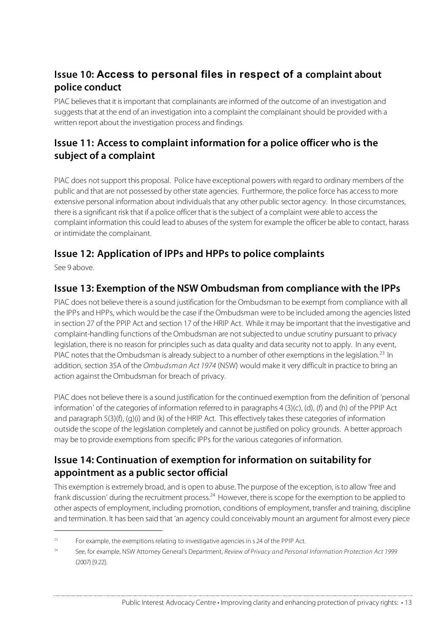# **Issue 10: Access to personal files in respect of a complaint about police conduct**

PIAC believes that it is important that complainants are informed of the outcome of an investigation and suggests that at the end of an investigation into a complaint the complainant should be provided with a written report about the investigation process and findings.

# **Issue 11: Access to complaint information for a police officer who is the subject of a complaint**

PIAC does not support this proposal. Police have exceptional powers with regard to ordinary members of the public and that are not possessed by other state agencies. Furthermore, the police force has access to more extensive personal information about individualsthat any other public sector agency. In those circumstances, there is a significant risk that if a police officer that is the subject of a complaint were able to access the complaint information this could lead to abuses of the system for example the officer be able to contact, harass or intimidate the complainant.

# **Issue 12: Application of IPPs and HPPs to police complaints**

See 9 above.

j

### **Issue 13: Exemption of the NSW Ombudsman from compliance with the IPPs**

PIAC does not believe there is a sound justification for the Ombudsman to be exempt from compliance with all the IPPs and HPPs, which would be the case if the Ombudsman were to be included among the agencieslisted in section 27 of the PPIP Act and section 17 of the HRIP Act. While it may be important that the investigative and complaint-handling functions of the Ombudsman are notsubjected to undue scrutiny pursuant to privacy legislation, there is no reason for principles such as data quality and data security not to apply. In any event, PIAC notes that the Ombudsman is already subject to a number of other exemptions in the legislation.<sup>23</sup> In addition, section 35A of the Ombudsman Act 1974 (NSW) would make it very difficult in practice to bring an action against the Ombudsman for breach of privacy.

PIAC does not believe there is a sound justification for the continued exemption from the definition of 'personal information' of the categories of information referred to in paragraphs 4 (3)(c), (d), (f) and (h) of the PPIP Act and paragraph 5(3)(f), (g)(i) and (k) of the HRIP Act. This effectively takes these categories of information outside the scope of the legislation completely and cannot be justified on policy grounds. A better approach may be to provide exemptions from specific IPPs for the various categories of information.

# **Issue 14: Continuation of exemption for information on suitability for appointment as a public sector official**

This exemption is extremely broad, and is open to abuse. The purpose of the exception, isto allow 'free and frank discussion' during the recruitment process.<sup>24</sup> However, there is scope for the exemption to be applied to other aspects of employment, including promotion, conditions of employment, transfer and training, discipline and termination. It has been said that 'an agency could conceivably mount an argument for almost every piece

 $23$  For example, the exemptions relating to investigative agencies in s 24 of the PPIP Act.

<sup>&</sup>lt;sup>24</sup> See, for example, NSW Attorney General's Department, Review of Privacy and Personal Information Protection Act 1999 (2007) [9.22].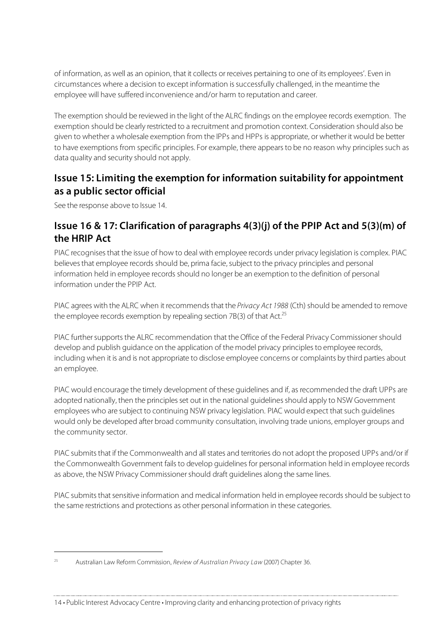of information, as well as an opinion, that it collects or receives pertaining to one of its employees'. Even in circumstances where a decision to except information issuccessfully challenged, in the meantime the employee will have suffered inconvenience and/or harm to reputation and career.

The exemption should be reviewed in the light of the ALRC findings on the employee records exemption. The exemption should be clearly restricted to a recruitment and promotion context. Consideration should also be given to whether a wholesale exemption from the IPPs and HPPs is appropriate, or whether it would be better to have exemptions from specific principles. For example, there appears to be no reason why principles such as data quality and security should not apply.

### **Issue 15: Limiting the exemption for information suitability for appointment as a public sector official**

See the response above to Issue 14.

 $\overline{a}$ 

## **Issue 16 & 17: Clarification of paragraphs 4(3)(j) of the PPIP Act and 5(3)(m) of the HRIP Act**

PIAC recognisesthat the issue of how to deal with employee records under privacy legislation is complex. PIAC believes that employee records should be, prima facie, subject to the privacy principles and personal information held in employee records should no longer be an exemption to the definition of personal information under the PPIP Act.

PIAC agrees with the ALRC when it recommends that the Privacy Act 1988 (Cth) should be amended to remove the employee records exemption by repealing section 7B(3) of that Act.<sup>25</sup>

PIAC further supports the ALRC recommendation that the Office of the Federal Privacy Commissioner should develop and publish guidance on the application of the model privacy principles to employee records, including when it is and is not appropriate to disclose employee concerns or complaints by third parties about an employee.

PIAC would encourage the timely development of these guidelines and if, as recommended the draft UPPs are adopted nationally, then the principles set out in the national quidelines should apply to NSW Government employees who are subject to continuing NSW privacy legislation. PIAC would expect that such guidelines would only be developed after broad community consultation, involving trade unions, employer groups and the community sector.

PIAC submits that if the Commonwealth and all states and territories do not adopt the proposed UPPs and/or if the Commonwealth Government fails to develop quidelines for personal information held in employee records as above, the NSW Privacy Commissionershould draft guidelines along the same lines.

PIAC submits that sensitive information and medical information held in employee records should be subject to the same restrictions and protections as other personal information in these categories.

<sup>&</sup>lt;sup>25</sup> Australian Law Reform Commission, Review of Australian Privacy Law (2007) Chapter 36.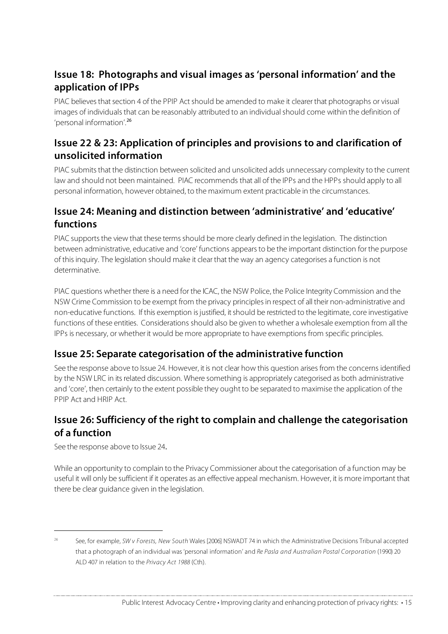# **Issue 18: Photographs and visual images as 'personal information' and the application of IPPs**

PIAC believes that section 4 of the PPIP Act should be amended to make it clearer that photographs or visual images of individuals that can be reasonably attributed to an individual should come within the definition of 'personal information'. 26

## **Issue 22 & 23: Application of principles and provisions to and clarification of unsolicited information**

PIAC submits that the distinction between solicited and unsolicited adds unnecessary complexity to the current law and should not been maintained. PIAC recommends that all of the IPPs and the HPPs should apply to all personal information, however obtained, to the maximum extent practicable in the circumstances.

## **Issue 24: Meaning and distinction between 'administrative' and 'educative' functions**

PIAC supports the view that these terms should be more clearly defined in the legislation. The distinction between administrative, educative and 'core' functions appearsto be the important distinction for the purpose of thisinquiry. The legislation should make it clear that the way an agency categorises a function is not determinative.

PIAC questions whether there is a need for the ICAC, the NSW Police, the Police Integrity Commission and the NSW Crime Commission to be exempt from the privacy principlesin respect of all their non-administrative and non-educative functions. If this exemption isjustified, itshould be restricted to the legitimate, core investigative functions of these entities. Considerations should also be given to whether a wholesale exemption from all the IPPs is necessary, or whether it would be more appropriate to have exemptions from specific principles.

### **Issue 25: Separate categorisation of the administrative function**

See the response above to Issue 24. However, it is not clear how this question arises from the concerns identified by the NSW LRC in itsrelated discussion. Where something is appropriately categorised as both administrative and 'core', then certainly to the extent possible they ought to be separated to maximise the application of the PPIP Act and HRIP Act.

# **Issue 26: Sufficiency of the right to complain and challenge the categorisation of a function**

See the response above to Issue 24.

j

While an opportunity to complain to the Privacy Commissioner about the categorisation of a function may be useful it will only be sufficient if it operates as an effective appeal mechanism. However, it is more important that there be clear guidance given in the legislation.

See, for example, SW v Forests, New South Wales [2006] NSWADT 74 in which the Administrative Decisions Tribunal accepted that a photograph of an individual was 'personal information' and Re Pasla and Australian Postal Corporation (1990) 20 ALD 407 in relation to the Privacy Act 1988 (Cth).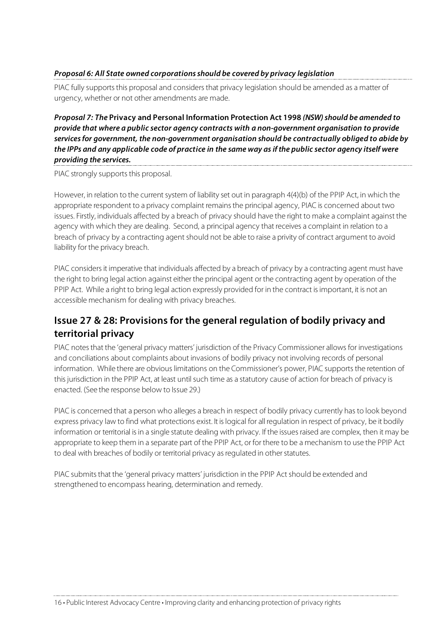#### **Proposal 6: All State owned corporationsshould be covered by privacy legislation**

PIAC fully supports this proposal and considers that privacy legislation should be amended as a matter of urgency, whether or not other amendments are made.

**Proposal 7: The Privacy and Personal Information Protection Act 1998 (NSW)should be amended to provide that where a public sector agency contracts with a non-government organisation to provide servicesfor government, the non-government organisation should be contractually obliged to abide by** the IPPs and any applicable code of practice in the same way as if the public sector agency itself were **providing the services.**

PIAC strongly supports this proposal.

However, in relation to the current system of liability set out in paragraph 4(4)(b) of the PPIP Act, in which the appropriate respondent to a privacy complaint remainsthe principal agency, PIAC is concerned about two issues. Firstly, individuals affected by a breach of privacy should have the right to make a complaint against the agency with which they are dealing. Second, a principal agency that receives a complaint in relation to a breach of privacy by a contracting agent should not be able to raise a privity of contract argument to avoid liability for the privacy breach.

PIAC considers it imperative that individuals affected by a breach of privacy by a contracting agent must have the right to bring legal action against either the principal agent or the contracting agent by operation of the PPIP Act. While a right to bring legal action expressly provided for in the contract is important, it is not an accessible mechanism for dealing with privacy breaches.

# **Issue 27 & 28: Provisions for the general regulation of bodily privacy and territorial privacy**

PIAC notes that the 'general privacy matters' jurisdiction of the Privacy Commissioner allows for investigations and conciliations about complaints about invasions of bodily privacy not involving records of personal information. While there are obvious limitations on the Commissioner's power, PIAC supports the retention of this jurisdiction in the PPIP Act, at least until such time as a statutory cause of action for breach of privacy is enacted. (See the response below to Issue 29.)

PIAC is concerned that a person who alleges a breach in respect of bodily privacy currently has to look beyond express privacy law to find what protections exist. It islogical for all regulation in respect of privacy, be it bodily information or territorial is in a single statute dealing with privacy. If the issues raised are complex, then it may be appropriate to keep them in a separate part of the PPIP Act, or for there to be a mechanism to use the PPIP Act to deal with breaches of bodily or territorial privacy as regulated in other statutes.

PIAC submits that the 'general privacy matters' jurisdiction in the PPIP Act should be extended and strengthened to encompass hearing, determination and remedy.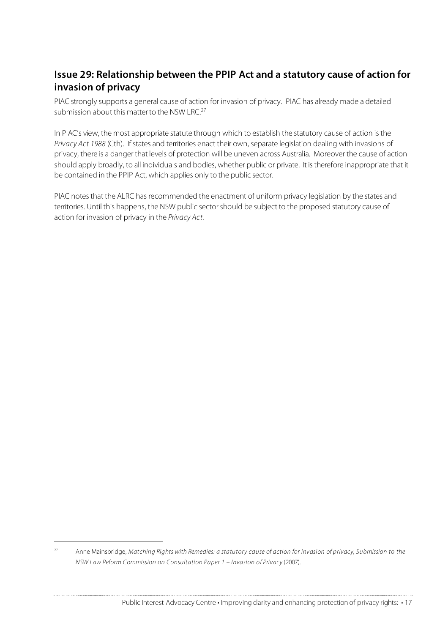# **Issue 29: Relationship between the PPIP Act and a statutory cause of action for invasion of privacy**

PIAC strongly supports a general cause of action for invasion of privacy. PIAC has already made a detailed submission about this matter to the NSW LRC.<sup>27</sup>

In PIAC's view, the most appropriate statute through which to establish the statutory cause of action is the Privacy Act 1988 (Cth). If states and territories enact their own, separate legislation dealing with invasions of privacy, there is a danger that levels of protection will be uneven across Australia. Moreover the cause of action should apply broadly, to all individuals and bodies, whether public or private. It istherefore inappropriate that it be contained in the PPIP Act, which applies only to the public sector.

PIAC notes that the ALRC has recommended the enactment of uniform privacy legislation by the states and territories. Until this happens, the NSW public sectorshould be subject to the proposed statutory cause of action for invasion of privacy in the Privacy Act.

j

<sup>&</sup>lt;sup>27</sup> Anne Mainsbridge, Matching Rights with Remedies: a statutory cause of action for invasion of privacy, Submission to the NSW Law Reform Commission on Consultation Paper 1 – Invasion of Privacy (2007).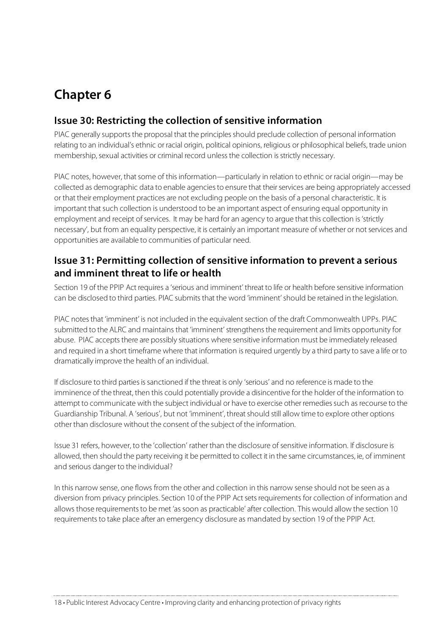# **Chapter 6**

### **Issue 30: Restricting the collection of sensitive information**

PIAC generally supports the proposal that the principles should preclude collection of personal information relating to an individual's ethnic or racial origin, political opinions, religious or philosophical beliefs, trade union membership, sexual activities or criminal record unless the collection is strictly necessary.

PIAC notes, however, that some of this information—particularly in relation to ethnic or racial origin—may be collected as demographic data to enable agencies to ensure that their services are being appropriately accessed or that their employment practices are not excluding people on the basis of a personal characteristic. It is important that such collection is understood to be an important aspect of ensuring equal opportunity in employment and receipt of services. It may be hard for an agency to argue that this collection is 'strictly necessary', but from an equality perspective, it is certainly an important measure of whether or not services and opportunities are available to communities of particular need.

### **Issue 31: Permitting collection of sensitive information to prevent a serious and imminent threat to life or health**

Section 19 of the PPIP Act requires a 'serious and imminent' threat to life or health before sensitive information can be disclosed to third parties. PIAC submits that the word 'imminent' should be retained in the legislation.

PIAC notes that 'imminent' is not included in the equivalent section of the draft Commonwealth UPPs. PIAC submitted to the ALRC and maintains that 'imminent' strengthensthe requirement and limits opportunity for abuse. PIAC accepts there are possibly situations where sensitive information must be immediately released and required in a short timeframe where that information is required urgently by a third party to save a life or to dramatically improve the health of an individual.

If disclosure to third parties is sanctioned if the threat is only 'serious' and no reference is made to the imminence of the threat, then this could potentially provide a disincentive for the holder of the information to attempt to communicate with the subject individual or have to exercise other remediessuch as recourse to the Guardianship Tribunal. A 'serious', but not 'imminent', threat should still allow time to explore other options other than disclosure without the consent of the subject of the information.

Issue 31 refers, however, to the 'collection' rather than the disclosure of sensitive information. If disclosure is allowed, then should the party receiving it be permitted to collect it in the same circumstances, ie, of imminent and serious danger to the individual?

In this narrow sense, one flows from the other and collection in this narrow sense should not be seen as a diversion from privacy principles. Section 10 of the PPIP Act sets requirements for collection of information and allows those requirementsto be met 'as soon as practicable' after collection. This would allow the section 10 requirements to take place after an emergency disclosure as mandated by section 19 of the PPIP Act.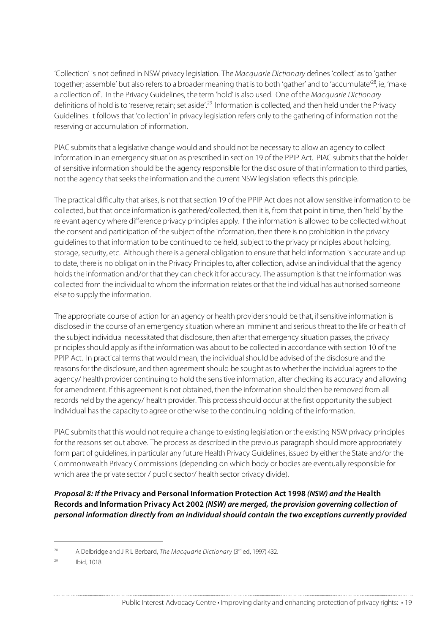'Collection' is not defined in NSW privacy legislation. The Macquarie Dictionary defines 'collect' asto 'gather together; assemble' but also refers to a broader meaning that is to both 'gather' and to 'accumulate'<sup>28</sup>, ie, 'make a collection of'. In the Privacy Guidelines, the term 'hold' is also used. One of the Macquarie Dictionary definitions of hold is to 'reserve; retain; set aside'.<sup>29</sup> Information is collected, and then held under the Privacy Guidelines. It follows that 'collection' in privacy legislation refers only to the gathering of information not the reserving or accumulation of information.

PIAC submits that a legislative change would and should not be necessary to allow an agency to collect information in an emergency situation as prescribed in section 19 of the PPIP Act. PIAC submits that the holder of sensitive information should be the agency responsible for the disclosure of that information to third parties, not the agency that seeks the information and the current NSW legislation reflects this principle.

The practical difficulty that arises, is not that section 19 of the PPIP Act does not allow sensitive information to be collected, but that once information is gathered/collected, then it is, from that point in time, then 'held' by the relevant agency where difference privacy principles apply. If the information is allowed to be collected without the consent and participation of the subject of the information, then there is no prohibition in the privacy guidelines to that information to be continued to be held, subject to the privacy principles about holding, storage, security, etc. Although there is a general obligation to ensure that held information is accurate and up to date, there is no obligation in the Privacy Principlesto, after collection, advise an individual that the agency holds the information and/or that they can check it for accuracy. The assumption is that the information was collected from the individual to whom the information relates orthat the individual has authorised someone else to supply the information.

The appropriate course of action for an agency or health provider should be that, if sensitive information is disclosed in the course of an emergency situation where an imminent and serious threat to the life or health of the subject individual necessitated that disclosure, then after that emergency situation passes, the privacy principles should apply as if the information was about to be collected in accordance with section 10 of the PPIP Act. In practical terms that would mean, the individual should be advised of the disclosure and the reasons for the disclosure, and then agreement should be sought as to whether the individual agrees to the agency/ health provider continuing to hold the sensitive information, after checking its accuracy and allowing for amendment. If this agreement is not obtained, then the information should then be removed from all records held by the agency/ health provider. This processshould occur at the first opportunity the subject individual has the capacity to agree or otherwise to the continuing holding of the information.

PIAC submits that this would not require a change to existing legislation or the existing NSW privacy principles for the reasons set out above. The process as described in the previous paragraph should more appropriately form part of guidelines, in particular any future Health Privacy Guidelines, issued by either the State and/or the Commonwealth Privacy Commissions (depending on which body or bodies are eventually responsible for which area the private sector / public sector/ health sector privacy divide).

**Proposal 8: If the Privacy and Personal Information Protection Act 1998 (NSW) and the Health Records and Information Privacy Act 2002 (NSW) are merged, the provision governing collection of personal information directly from an individualshould contain the two exceptions currently provided**

j

<sup>&</sup>lt;sup>28</sup> A Delbridge and J R L Berbard, The Macquarie Dictionary ( $3<sup>rd</sup>$  ed, 1997) 432.

<sup>29</sup> Ibid, 1018.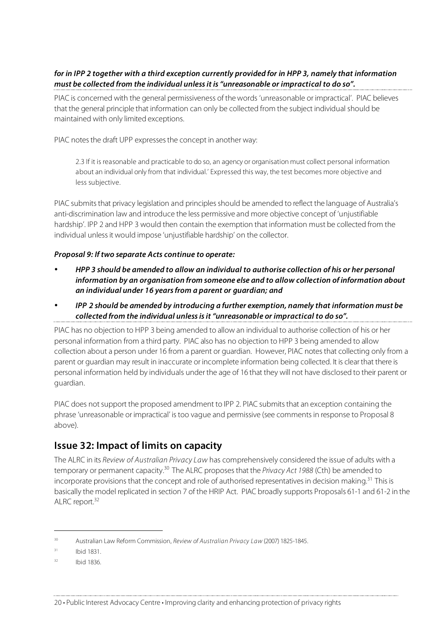#### for in IPP 2 together with a third exception currently provided for in HPP 3, namely that information **must be collected from the individual unlessit is "unreasonable or impractical to do so".**

PIAC is concerned with the general permissiveness of the words 'unreasonable or impractical'. PIAC believes that the general principle that information can only be collected from the subject individual should be maintained with only limited exceptions.

PIAC notes the draft UPP expresses the concept in another way:

2.3 If it is reasonable and practicable to do so, an agency or organisation must collect personal information about an individual only from that individual.' Expressed this way, the test becomes more objective and less subjective.

PIAC submits that privacy legislation and principles should be amended to reflect the language of Australia's anti-discrimination law and introduce the less permissive and more objective concept of 'unjustifiable hardship'. IPP 2 and HPP 3 would then contain the exemption that information must be collected from the individual unless it would impose 'unjustifiable hardship' on the collector.

#### **Proposal 9: If two separate Acts continue to operate:**

- **HPP 3 should be amended to allow an individual to authorise collection of his or her personal information by an organisation from someone else and to allow collection of information about an individual under 16 yearsfrom a parent or guardian; and**
- **IPP 2 should be amended by introducing a further exemption, namely that information must be collected from the individual unlessisit "unreasonable or impractical to do so".**

PIAC has no objection to HPP 3 being amended to allow an individual to authorise collection of his or her personal information from a third party. PIAC also has no objection to HPP 3 being amended to allow collection about a person under 16 from a parent or guardian. However, PIAC notesthat collecting only from a parent or guardian may result in inaccurate or incomplete information being collected. It is clearthat there is personal information held by individuals under the age of 16 that they will not have disclosed to their parent or guardian.

PIAC does not support the proposed amendment to IPP 2. PIAC submits that an exception containing the phrase 'unreasonable or impractical' istoo vague and permissive (see commentsin response to Proposal 8 above).

### **Issue 32: Impact of limits on capacity**

The ALRC in its Review of Australian Privacy Law has comprehensively considered the issue of adults with a temporary or permanent capacity.<sup>30</sup> The ALRC proposes that the Privacy Act 1988 (Cth) be amended to incorporate provisions that the concept and role of authorised representatives in decision making.<sup>31</sup> This is basically the model replicated in section 7 of the HRIP Act. PIAC broadly supports Proposals 61-1 and 61-2 in the ALRC report.<sup>32</sup>

j

<sup>&</sup>lt;sup>30</sup> Australian Law Reform Commission, Review of Australian Privacy Law (2007) 1825-1845.

 $31$  Ibid 1831.

 $32$  Ibid 1836.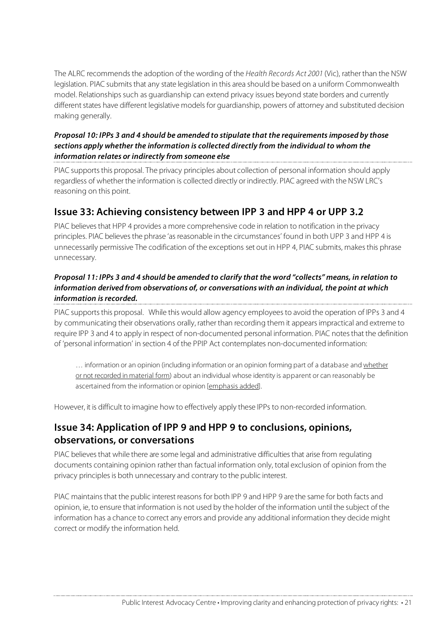The ALRC recommends the adoption of the wording of the Health Records Act 2001 (Vic), ratherthan the NSW legislation. PIAC submits that any state legislation in this area should be based on a uniform Commonwealth model. Relationships such as guardianship can extend privacy issues beyond state borders and currently different states have different legislative models for guardianship, powers of attorney and substituted decision making generally.

### **Proposal 10: IPPs 3 and 4 should be amended to stipulate that the requirements imposed by those sections apply whether the information is collected directly from the individual to whom the information relates or indirectly from someone else**

PIAC supportsthis proposal. The privacy principles about collection of personal information should apply regardless of whether the information is collected directly or indirectly. PIAC agreed with the NSW LRC's reasoning on this point.

### **Issue 33: Achieving consistency between IPP 3 and HPP 4 or UPP 3.2**

PIAC believes that HPP 4 provides a more comprehensive code in relation to notification in the privacy principles. PIAC believesthe phrase 'as reasonable in the circumstances' found in both UPP 3 and HPP 4 is unnecessarily permissive The codification of the exceptions set out in HPP 4, PIAC submits, makes this phrase unnecessary.

#### Proposal 11: IPPs 3 and 4 should be amended to clarify that the word "collects" means, in relation to **information derived from observations of, or conversations with an individual, the point at which information isrecorded.**

PIAC supports this proposal. While this would allow agency employees to avoid the operation of IPPs 3 and 4 by communicating their observations orally, rather than recording them it appearsimpractical and extreme to require IPP 3 and 4 to apply in respect of non-documented personal information. PIAC notesthat the definition of 'personal information' in section 4 of the PPIP Act contemplates non-documented information:

... information or an opinion (including information or an opinion forming part of a database and whether or not recorded in material form) about an individual whose identity is apparent or can reasonably be ascertained from the information or opinion [emphasis added].

However, it is difficult to imagine how to effectively apply these IPPs to non-recorded information.

### **Issue 34: Application of IPP 9 and HPP 9 to conclusions, opinions, observations, or conversations**

PIAC believes that while there are some legal and administrative difficulties that arise from regulating documents containing opinion rather than factual information only, total exclusion of opinion from the privacy principles is both unnecessary and contrary to the public interest.

PIAC maintains that the public interest reasons for both IPP 9 and HPP 9 are the same for both facts and opinion, ie, to ensure that information is not used by the holder of the information until the subject of the information has a chance to correct any errors and provide any additional information they decide might correct or modify the information held.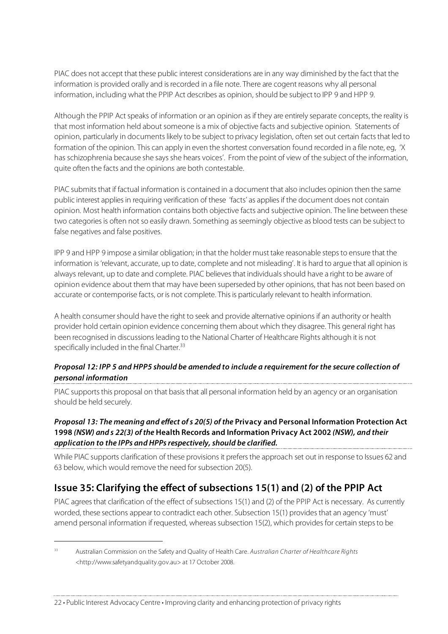PIAC does not accept that these public interest considerations are in any way diminished by the fact that the information is provided orally and isrecorded in a file note. There are cogent reasons why all personal information, including what the PPIP Act describes as opinion, should be subject to IPP 9 and HPP 9.

Although the PPIP Act speaks of information or an opinion as if they are entirely separate concepts, the reality is that most information held about someone is a mix of objective facts and subjective opinion. Statements of opinion, particularly in documents likely to be subject to privacy legislation, often set out certain facts that led to formation of the opinion. This can apply in even the shortest conversation found recorded in a file note, eg, 'X has schizophrenia because she says she hears voices'. From the point of view of the subject of the information, quite often the facts and the opinions are both contestable.

PIAC submits that if factual information is contained in a document that also includes opinion then the same public interest applies in requiring verification of these 'facts' as applies if the document does not contain opinion. Most health information contains both objective facts and subjective opinion. The line between these two categories is often not so easily drawn. Something as seemingly objective as blood tests can be subject to false negatives and false positives.

IPP 9 and HPP 9 impose a similar obligation; in that the holder must take reasonable stepsto ensure that the information is'relevant, accurate, up to date, complete and not misleading'. It is hard to argue that all opinion is always relevant, up to date and complete. PIAC believes that individuals should have a right to be aware of opinion evidence about them that may have been superseded by other opinions, that has not been based on accurate or contemporise facts, or is not complete. Thisis particularly relevant to health information.

A health consumershould have the right to seek and provide alternative opinions if an authority or health provider hold certain opinion evidence concerning them about which they disagree. This general right has been recognised in discussions leading to the National Charter of Healthcare Rights although it is not specifically included in the final Charter.<sup>33</sup>

# Proposal 12: IPP 5 and HPP5 should be amended to include a requirement for the secure collection of **personal information**

PIAC supports this proposal on that basis that all personal information held by an agency or an organisation should be held securely.

#### **Proposal 13: The meaning and effect ofs 20(5) of the Privacy and Personal Information Protection Act 1998 (NSW) and s 22(3) of the Health Records and Information Privacy Act 2002 (NSW), and their application to the IPPs and HPPsrespectively, should be clarified.**

While PIAC supports clarification of these provisions it prefers the approach set out in response to Issues 62 and 63 below, which would remove the need for subsection 20(5).

# **Issue 35: Clarifying the effect of subsections 15(1) and (2) of the PPIP Act**

PIAC agrees that clarification of the effect of subsections 15(1) and (2) of the PPIP Act is necessary. As currently worded, these sections appear to contradict each other. Subsection 15(1) provides that an agency 'must' amend personal information if requested, whereas subsection 15(2), which provides for certain steps to be

j

<sup>&</sup>lt;sup>33</sup> Australian Commission on the Safety and Quality of Health Care. Australian Charter of Healthcare Rights <http://www.safetyandquality.gov.au> at 17 October 2008.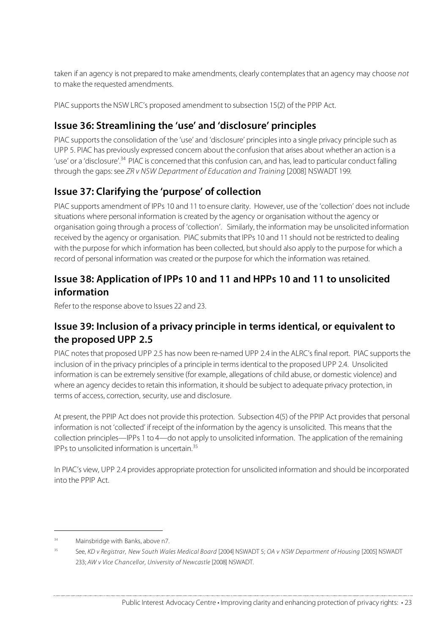taken if an agency is not prepared to make amendments, clearly contemplatesthat an agency may choose not to make the requested amendments.

PIAC supports the NSW LRC's proposed amendment to subsection 15(2) of the PPIP Act.

# **Issue 36: Streamlining the 'use' and 'disclosure' principles**

PIAC supportsthe consolidation of the 'use' and 'disclosure' principlesinto a single privacy principle such as UPP 5. PIAC has previously expressed concern about the confusion that arises about whether an action is a 'use' or a 'disclosure'.<sup>34</sup> PIAC is concerned that this confusion can, and has, lead to particular conduct falling through the gaps: see ZR v NSW Department of Education and Training [2008] NSWADT 199.

# **Issue 37: Clarifying the 'purpose' of collection**

PIAC supports amendment of IPPs 10 and 11 to ensure clarity. However, use of the 'collection' does not include situations where personal information is created by the agency or organisation without the agency or organisation going through a process of 'collection'. Similarly, the information may be unsolicited information received by the agency or organisation. PIAC submits that IPPs 10 and 11 should not be restricted to dealing with the purpose for which information has been collected, but should also apply to the purpose for which a record of personal information was created or the purpose for which the information was retained.

# **Issue 38: Application of IPPs 10 and 11 and HPPs 10 and 11 to unsolicited information**

Refer to the response above to Issues 22 and 23.

### **Issue 39: Inclusion of a privacy principle in terms identical, or equivalent to the proposed UPP 2.5**

PIAC notes that proposed UPP 2.5 has now been re-named UPP 2.4 in the ALRC's final report. PIAC supports the inclusion of in the privacy principles of a principle in termsidentical to the proposed UPP 2.4. Unsolicited information is can be extremely sensitive (for example, allegations of child abuse, or domestic violence) and where an agency decides to retain this information, it should be subject to adequate privacy protection, in terms of access, correction, security, use and disclosure.

At present, the PPIP Act does not provide this protection. Subsection 4(5) of the PPIP Act provides that personal information is not 'collected' if receipt of the information by the agency is unsolicited. This means that the collection principles—IPPs 1 to 4—do not apply to unsolicited information. The application of the remaining IPPs to unsolicited information is uncertain. 35

In PIAC's view, UPP 2.4 provides appropriate protection for unsolicited information and should be incorporated into the PPIP Act.

j

<sup>&</sup>lt;sup>34</sup> Mainsbridge with Banks, above n7.

<sup>&</sup>lt;sup>35</sup> See, KD v Registrar, New South Wales Medical Board [2004] NSWADT 5; OA v NSW Department of Housing [2005] NSWADT 233; AW v Vice Chancellor, University of Newcastle [2008] NSWADT.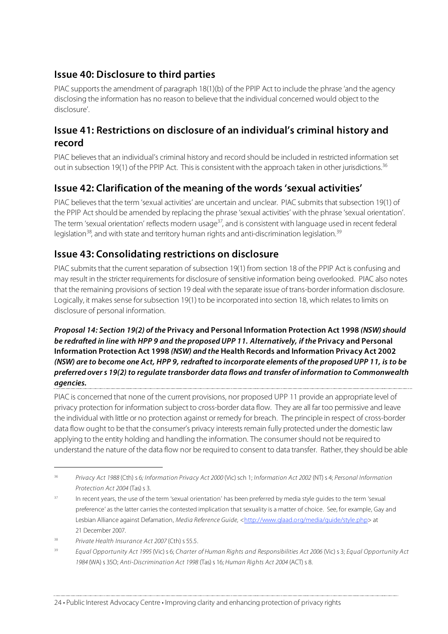# **Issue 40: Disclosure to third parties**

PIAC supports the amendment of paragraph 18(1)(b) of the PPIP Act to include the phrase 'and the agency disclosing the information has no reason to believe that the individual concerned would object to the disclosure'.

### **Issue 41: Restrictions on disclosure of an individual's criminal history and record**

PIAC believes that an individual's criminal history and record should be included in restricted information set out in subsection 19(1) of the PPIP Act. This is consistent with the approach taken in other jurisdictions.<sup>36</sup>

# **Issue 42: Clarification of the meaning of the words 'sexual activities'**

PIAC believes that the term 'sexual activities' are uncertain and unclear. PIAC submits that subsection 19(1) of the PPIP Act should be amended by replacing the phrase 'sexual activities' with the phrase 'sexual orientation'. The term 'sexual orientation' reflects modern usage $^{37}$ , and is consistent with language used in recent federal legislation<sup>38</sup>, and with state and territory human rights and anti-discrimination legislation.<sup>39</sup>

# **Issue 43: Consolidating restrictions on disclosure**

PIAC submits that the current separation of subsection 19(1) from section 18 of the PPIP Act is confusing and may result in the stricter requirements for disclosure of sensitive information being overlooked. PIAC also notes that the remaining provisions of section 19 deal with the separate issue of trans-border information disclosure. Logically, it makes sense for subsection 19(1) to be incorporated into section 18, which relates to limits on disclosure of personal information.

**Proposal 14: Section 19(2) of the Privacy and Personal Information Protection Act 1998 (NSW)should** be redrafted in line with HPP 9 and the proposed UPP 11. Alternatively, if the Privacy and Personal **Information Protection Act 1998 (NSW) and the Health Records and Information Privacy Act 2002** (NSW) are to become one Act, HPP 9, redrafted to incorporate elements of the proposed UPP 11, is to be **preferred overs 19(2) to regulate transborder data flows and transfer of information to Commonwealth agencies.**

PIAC is concerned that none of the current provisions, nor proposed UPP 11 provide an appropriate level of privacy protection for information subject to cross-border data flow. They are all far too permissive and leave the individual with little or no protection against or remedy for breach. The principle in respect of cross-border data flow ought to be that the consumer's privacy interests remain fully protected under the domestic law applying to the entity holding and handling the information. The consumer should not be required to understand the nature of the data flow nor be required to consent to data transfer. Rather, they should be able

 $\overline{a}$ 

<sup>&</sup>lt;sup>36</sup> Privacy Act 1988 (Cth) s 6; Information Privacy Act 2000 (Vic) sch 1; Information Act 2002 (NT) s 4; Personal Information Protection Act 2004 (Tas) s 3.

<sup>&</sup>lt;sup>37</sup> In recent years, the use of the term 'sexual orientation' has been preferred by media style quides to the term 'sexual preference' as the latter carries the contested implication that sexuality is a matter of choice. See, for example, Gay and Lesbian Alliance against Defamation, Media Reference Guide, <http://www.glaad.org/media/guide/style.php> at 21 December 2007.

<sup>&</sup>lt;sup>38</sup> Private Health Insurance Act 2007 (Cth) s 55.5

<sup>&</sup>lt;sup>39</sup> Equal Opportunity Act 1995 (Vic) s 6; Charter of Human Rights and Responsibilities Act 2006 (Vic) s 3; Equal Opportunity Act 1984 (WA) s 35O; Anti-Discrimination Act 1998 (Tas)s 16; Human Rights Act 2004 (ACT) s 8.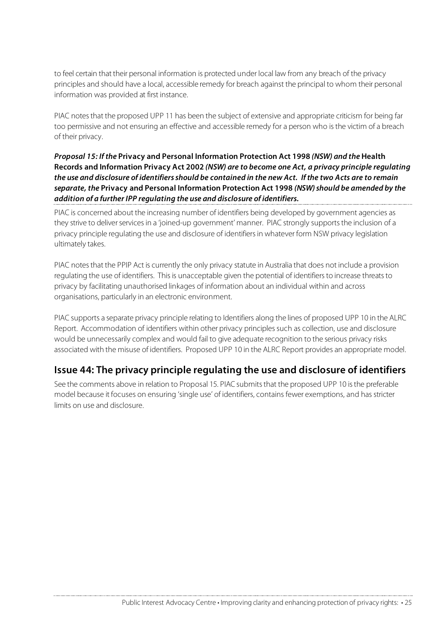to feel certain that their personal information is protected under local law from any breach of the privacy principles and should have a local, accessible remedy for breach against the principal to whom their personal information was provided at first instance.

PIAC notesthat the proposed UPP 11 has been the subject of extensive and appropriate criticism for being far too permissive and not ensuring an effective and accessible remedy for a person who isthe victim of a breach of their privacy.

#### **Proposal 15: If the Privacy and Personal Information Protection Act 1998 (NSW) and the Health Records and Information Privacy Act 2002 (NSW) are to become one Act, a privacy principle regulating** the use and disclosure of identifiers should be contained in the new Act. If the two Acts are to remain **separate, the Privacy and Personal Information Protection Act 1998 (NSW)should be amended by the addition of a further IPP regulating the use and disclosure of identifiers.**

PIAC is concerned about the increasing number of identifiers being developed by government agencies as they strive to deliver services in a 'joined-up government' manner. PIAC strongly supports the inclusion of a privacy principle regulating the use and disclosure of identifiersin whatever form NSW privacy legislation ultimately takes.

PIAC notes that the PPIP Act is currently the only privacy statute in Australia that does not include a provision regulating the use of identifiers. This is unacceptable given the potential of identifiers to increase threats to privacy by facilitating unauthorised linkages of information about an individual within and across organisations, particularly in an electronic environment.

PIAC supports a separate privacy principle relating to Identifiers along the lines of proposed UPP 10 in the ALRC Report. Accommodation of identifiers within other privacy principles such as collection, use and disclosure would be unnecessarily complex and would fail to give adequate recognition to the serious privacy risks associated with the misuse of identifiers. Proposed UPP 10 in the ALRC Report provides an appropriate model.

### **Issue 44: The privacy principle regulating the use and disclosure of identifiers**

See the comments above in relation to Proposal 15. PIAC submits that the proposed UPP 10 is the preferable model because it focuses on ensuring 'single use' of identifiers, contains fewer exemptions, and has stricter limits on use and disclosure.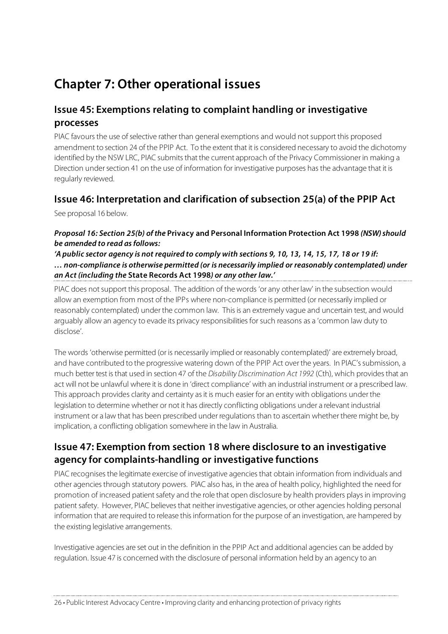# **Chapter 7: Other operational issues**

### **Issue 45: Exemptions relating to complaint handling or investigative processes**

PIAC favours the use of selective rather than general exemptions and would not support this proposed amendment to section 24 of the PPIP Act. To the extent that it is considered necessary to avoid the dichotomy identified by the NSW LRC, PIAC submits that the current approach of the Privacy Commissioner in making a Direction under section 41 on the use of information for investigative purposes has the advantage that it is regularly reviewed.

### **Issue 46: Interpretation and clarification of subsection 25(a) of the PPIP Act**

See proposal 16 below.

#### **Proposal 16: Section 25(b) of the Privacy and Personal Information Protection Act 1998 (NSW)should be amended to read asfollows:**

#### 'A public sector agency is not required to comply with sections 9, 10, 13, 14, 15, 17, 18 or 19 if: **… non-compliance is otherwise permitted (or is necessarily implied or reasonably contemplated) under an Act (including the State Records Act 1998) or any other law.'**

PIAC does not support this proposal. The addition of the words 'or any other law' in the subsection would allow an exemption from most of the IPPs where non-compliance is permitted (or necessarily implied or reasonably contemplated) under the common law. Thisis an extremely vague and uncertain test, and would arguably allow an agency to evade its privacy responsibilities for such reasons as a 'common law duty to disclose'.

The words 'otherwise permitted (or is necessarily implied or reasonably contemplated)' are extremely broad, and have contributed to the progressive watering down of the PPIP Act over the years. In PIAC's submission, a much better test is that used in section 47 of the Disability Discrimination Act 1992 (Cth), which provides that an act will not be unlawful where it is done in 'direct compliance' with an industrial instrument or a prescribed law. This approach provides clarity and certainty asit is much easier for an entity with obligations under the legislation to determine whether or not it has directly conflicting obligations under a relevant industrial instrument or a law that has been prescribed under regulations than to ascertain whether there might be, by implication, a conflicting obligation somewhere in the law in Australia.

### **Issue 47: Exemption from section 18 where disclosure to an investigative agency for complaints-handling or investigative functions**

PIAC recognisesthe legitimate exercise of investigative agenciesthat obtain information from individuals and other agenciesthrough statutory powers. PIAC also has, in the area of health policy, highlighted the need for promotion of increased patient safety and the role that open disclosure by health providers plays in improving patient safety. However, PIAC believes that neither investigative agencies, or other agencies holding personal information that are required to release this information for the purpose of an investigation, are hampered by the existing legislative arrangements.

Investigative agencies are set out in the definition in the PPIP Act and additional agencies can be added by regulation. Issue 47 is concerned with the disclosure of personal information held by an agency to an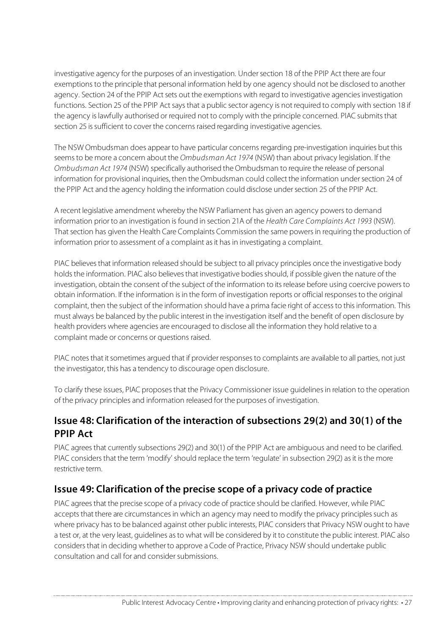investigative agency for the purposes of an investigation. Undersection 18 of the PPIP Act there are four exemptions to the principle that personal information held by one agency should not be disclosed to another agency. Section 24 of the PPIP Act sets out the exemptions with regard to investigative agencies investigation functions. Section 25 of the PPIP Act says that a public sector agency is not required to comply with section 18 if the agency is lawfully authorised or required not to comply with the principle concerned. PIAC submits that section 25 is sufficient to cover the concerns raised regarding investigative agencies.

The NSW Ombudsman does appear to have particular concerns regarding pre-investigation inquiries but this seems to be more a concern about the Ombudsman Act 1974 (NSW) than about privacy legislation. If the Ombudsman Act 1974 (NSW) specifically authorised the Ombudsman to require the release of personal information for provisional inquiries, then the Ombudsman could collect the information undersection 24 of the PPIP Act and the agency holding the information could disclose under section 25 of the PPIP Act.

A recent legislative amendment whereby the NSW Parliament has given an agency powersto demand information prior to an investigation is found in section 21A of the Health Care Complaints Act 1993 (NSW). That section has given the Health Care Complaints Commission the same powers in requiring the production of information prior to assessment of a complaint as it has in investigating a complaint.

PIAC believes that information released should be subject to all privacy principles once the investigative body holds the information. PIAC also believes that investigative bodies should, if possible given the nature of the investigation, obtain the consent of the subject of the information to its release before using coercive powers to obtain information. If the information is in the form of investigation reports or official responses to the original complaint, then the subject of the information should have a prima facie right of access to this information. This must always be balanced by the public interest in the investigation itself and the benefit of open disclosure by health providers where agencies are encouraged to disclose all the information they hold relative to a complaint made or concerns or questions raised.

PIAC notes that it sometimes argued that if provider responses to complaints are available to all parties, not just the investigator, this has a tendency to discourage open disclosure.

To clarify these issues, PIAC proposes that the Privacy Commissioner issue guidelines in relation to the operation of the privacy principles and information released for the purposes of investigation.

# **Issue 48: Clarification of the interaction of subsections 29(2) and 30(1) of the PPIP Act**

PIAC agrees that currently subsections 29(2) and 30(1) of the PPIP Act are ambiguous and need to be clarified. PIAC considers that the term 'modify' should replace the term 'regulate' in subsection 29(2) as it is the more restrictive term.

### **Issue 49: Clarification of the precise scope of a privacy code of practice**

PIAC agrees that the precise scope of a privacy code of practice should be clarified. However, while PIAC accepts that there are circumstances in which an agency may need to modify the privacy principles such as where privacy has to be balanced against other public interests, PIAC considersthat Privacy NSW ought to have a test or, at the very least, guidelines as to what will be considered by it to constitute the public interest. PIAC also considersthat in deciding whetherto approve a Code of Practice, Privacy NSW should undertake public consultation and call for and consider submissions.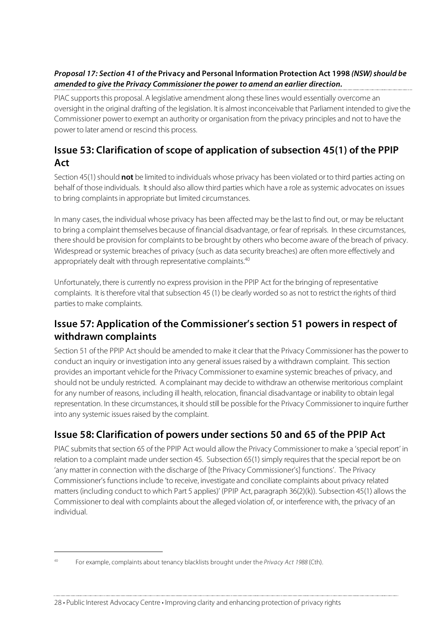#### **Proposal 17: Section 41 of the Privacy and Personal Information Protection Act 1998 (NSW)should be amended to give the Privacy Commissioner the power to amend an earlier direction.**

PIAC supports this proposal. A legislative amendment along these lines would essentially overcome an oversight in the original drafting of the legislation. It is almost inconceivable that Parliament intended to give the Commissioner power to exempt an authority or organisation from the privacy principles and not to have the power to later amend or rescind this process.

# **Issue 53: Clarification of scope of application of subsection 45(1) of the PPIP Act**

Section 45(1) should **not** be limited to individuals whose privacy has been violated or to third parties acting on behalf of those individuals. Itshould also allow third parties which have a role assystemic advocates on issues to bring complaints in appropriate but limited circumstances.

In many cases, the individual whose privacy has been affected may be the last to find out, or may be reluctant to bring a complaint themselves because of financial disadvantage, or fear of reprisals. In these circumstances, there should be provision for complaints to be brought by others who become aware of the breach of privacy. Widespread or systemic breaches of privacy (such as data security breaches) are often more effectively and appropriately dealt with through representative complaints.<sup>40</sup>

Unfortunately, there is currently no express provision in the PPIP Act for the bringing of representative complaints. It is therefore vital that subsection 45 (1) be clearly worded so as not to restrict the rights of third partiesto make complaints.

# **Issue 57: Application of the Commissioner's section 51 powers in respect of withdrawn complaints**

Section 51 of the PPIP Act should be amended to make it clear that the Privacy Commissioner has the power to conduct an inquiry or investigation into any general issues raised by a withdrawn complaint. This section provides an important vehicle for the Privacy Commissioner to examine systemic breaches of privacy, and should not be unduly restricted. A complainant may decide to withdraw an otherwise meritorious complaint for any number of reasons, including ill health, relocation, financial disadvantage or inability to obtain legal representation. In these circumstances, it should still be possible for the Privacy Commissioner to inquire further into any systemic issues raised by the complaint.

# **Issue 58: Clarification of powers under sections 50 and 65 of the PPIP Act**

PIAC submits that section 65 of the PPIP Act would allow the Privacy Commissioner to make a 'special report' in relation to a complaint made under section 45. Subsection 65(1) simply requires that the special report be on 'any matter in connection with the discharge of [the Privacy Commissioner's] functions'. The Privacy Commissioner's functions include 'to receive, investigate and conciliate complaints about privacy related matters (including conduct to which Part 5 applies)' (PPIP Act, paragraph 36(2)(k)). Subsection 45(1) allows the Commissioner to deal with complaints about the alleged violation of, or interference with, the privacy of an individual.

 $\overline{a}$ 

<sup>&</sup>lt;sup>40</sup> For example, complaints about tenancy blacklists brought under the Privacy Act 1988 (Cth).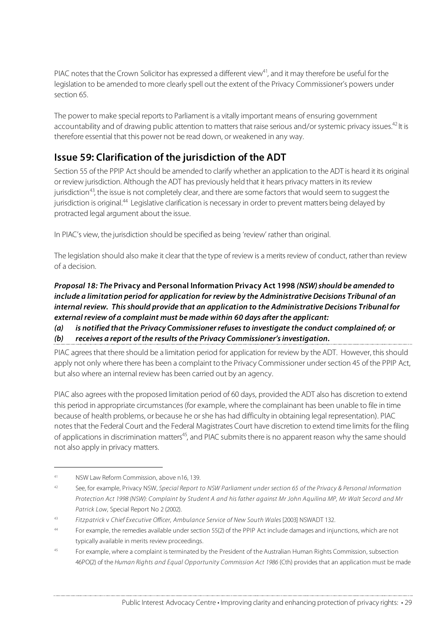PIAC notes that the Crown Solicitor has expressed a different view<sup>41</sup>, and it may therefore be useful for the legislation to be amended to more clearly spell out the extent of the Privacy Commissioner's powers under section 65.

The power to make special reports to Parliament is a vitally important means of ensuring government accountability and of drawing public attention to matters that raise serious and/or systemic privacy issues.<sup>42</sup> It is therefore essential that this power not be read down, or weakened in any way.

# **Issue 59: Clarification of the jurisdiction of the ADT**

Section 55 of the PPIP Act should be amended to clarify whether an application to the ADT is heard it its original or review jurisdiction. Although the ADT has previously held that it hears privacy mattersin itsreview jurisdiction<sup>43</sup>, the issue is not completely clear, and there are some factors that would seem to suggest the jurisdiction is original.<sup>44</sup> Legislative clarification is necessary in order to prevent matters being delayed by protracted legal argument about the issue.

In PIAC's view, the jurisdiction should be specified as being 'review' rather than original.

The legislation should also make it clear that the type of review is a merits review of conduct, rather than review of a decision.

#### **Proposal 18: The Privacy and Personal Information Privacy Act 1998 (NSW)should be amended to include a limitation period for application for review by the Administrative Decisions Tribunal of an internal review. Thisshould provide that an application to the Administrative Decisions Tribunal for external review of a complaint must be made within 60 days after the applicant:**

#### **(a) is notified that the Privacy Commissioner refusesto investigate the conduct complained of; or**

#### **(b) receives a report of the results of the Privacy Commissioner'sinvestigation.**

PIAC agrees that there should be a limitation period for application for review by the ADT. However, this should apply not only where there has been a complaint to the Privacy Commissioner under section 45 of the PPIP Act, but also where an internal review has been carried out by an agency.

PIAC also agrees with the proposed limitation period of 60 days, provided the ADT also has discretion to extend this period in appropriate circumstances (for example, where the complainant has been unable to file in time because of health problems, or because he orshe has had difficulty in obtaining legal representation). PIAC notesthat the Federal Court and the Federal Magistrates Court have discretion to extend time limits for the filing of applications in discrimination matters<sup>45</sup>, and PIAC submits there is no apparent reason why the same should not also apply in privacy matters.

 $\overline{a}$ 

<sup>41</sup> NSW Law Reform Commission, above n16, 139.

<sup>&</sup>lt;sup>42</sup> See, for example, Privacy NSW, Special Report to NSW Parliament under section 65 of the Privacy & Personal Information Protection Act 1998 (NSW): Complaint by Student A and his father against Mr John Aquilina MP, Mr Walt Secord and Mr Patrick Low, Special Report No 2 (2002).

<sup>43</sup> Fitzpatrick v Chief Executive Officer, Ambulance Service of New South Wales [2003] NSWADT 132.

<sup>44</sup> For example, the remedies available under section 55(2) of the PPIP Act include damages and injunctions, which are not typically available in merits review proceedings.

<sup>&</sup>lt;sup>45</sup> For example, where a complaint is terminated by the President of the Australian Human Rights Commission, subsection 46PO(2) of the Human Rights and Equal Opportunity Commission Act 1986 (Cth) provides that an application must be made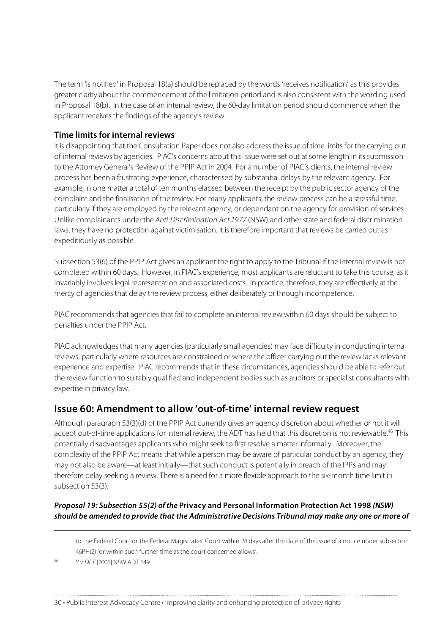The term 'is notified' in Proposal 18(a) should be replaced by the words 'receives notification' as this provides greater clarity about the commencement of the limitation period and is also consistent with the wording used in Proposal 18(b). In the case of an internal review, the 60-day limitation period should commence when the applicant receives the findings of the agency's review.

#### **Time limits for internal reviews**

It is disappointing that the Consultation Paper does not also address the issue of time limits for the carrying out of internal reviews by agencies. PIAC's concerns about thisissue were set out atsome length in itssubmission to the Attorney General's Review of the PPIP Act in 2004. For a number of PIAC's clients, the internal review process has been a frustrating experience, characterised by substantial delays by the relevant agency. For example, in one matter a total of ten months elapsed between the receipt by the public sector agency of the complaint and the finalisation of the review. For many applicants, the review process can be a stressful time, particularly if they are employed by the relevant agency, or dependant on the agency for provision of services. Unlike complainants under the Anti-Discrimination Act 1977 (NSW) and otherstate and federal discrimination laws, they have no protection against victimisation. It is therefore important that reviews be carried out as expeditiously as possible.

Subsection 53(6) of the PPIP Act gives an applicant the right to apply to the Tribunal if the internal review is not completed within 60 days. However, in PIAC's experience, most applicants are reluctant to take this course, asit invariably involveslegal representation and associated costs. In practice, therefore, they are effectively at the mercy of agenciesthat delay the review process, either deliberately or through incompetence.

PIAC recommends that agencies that fail to complete an internal review within 60 days should be subject to penalties under the PPIP Act.

PIAC acknowledges that many agencies (particularly small agencies) may face difficulty in conducting internal reviews, particularly where resources are constrained or where the officer carrying out the review lacks relevant experience and expertise. PIAC recommends that in these circumstances, agenciesshould be able to refer out the review function to suitably qualified and independent bodiessuch as auditors orspecialist consultants with expertise in privacy law.

#### **Issue 60: Amendment to allow 'out-of-time' internal review request**

Although paragraph 53(3)(d) of the PPIP Act currently gives an agency discretion about whether or not it will accept out-of-time applications for internal review, the ADT has held that this discretion is not reviewable. <sup>46</sup> This potentially disadvantages applicants who might seek to first resolve a matter informally. Moreover, the complexity of the PPIP Act meansthat while a person may be aware of particular conduct by an agency, they may not also be aware—at least initially—that such conduct is potentially in breach of the IPPs and may therefore delay seeking a review. There is a need for a more flexible approach to the six-month time limit in subsection 53(3).

#### **Proposal 19: Subsection 55(2) of the Privacy and Personal Information Protection Act 1998 (NSW) should be amended to provide that the AdministrativeDecisions Tribunal may make any one or more of**

to the Federal Court or the Federal Magistrates' Court within 28 days after the date of the issue of a notice under subsection 46PH(2) 'or within such further time as the court concerned allows'.

Y v DET [2001] NSW ADT 149.

j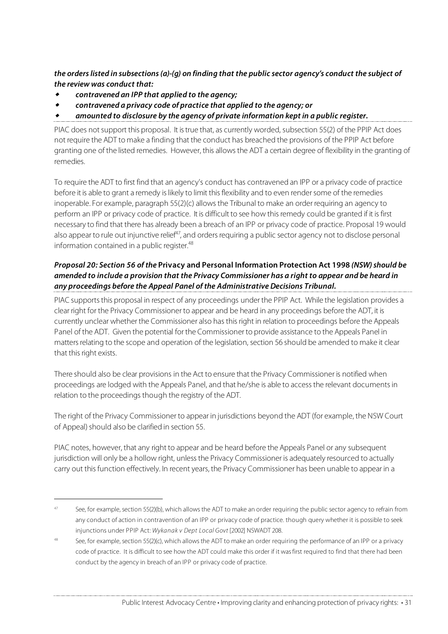**the orderslisted in subsections(a)-(g) on finding that the public sector agency's conduct the subject of the review was conduct that:**

٠ **contravened an IPP that applied to the agency;**

 $\overline{a}$ 

- ٠ **contravened a privacy code of practice that applied to the agency; or**
- **amounted to disclosure by the agency of private information kept in a public register.**

PIAC does notsupport this proposal. It istrue that, as currently worded, subsection 55(2) of the PPIP Act does not require the ADT to make a finding that the conduct has breached the provisions of the PPIP Act before granting one of the listed remedies. However, this allowsthe ADT a certain degree of flexibility in the granting of remedies.

To require the ADT to first find that an agency's conduct has contravened an IPP or a privacy code of practice before it is able to grant a remedy is likely to limit this flexibility and to even render some of the remedies inoperable. For example, paragraph 55(2)(c) allows the Tribunal to make an order requiring an agency to perform an IPP or privacy code of practice. It is difficult to see how thisremedy could be granted if it is first necessary to find that there has already been a breach of an IPP or privacy code of practice. Proposal 19 would also appear to rule out injunctive relief<sup>47</sup>, and orders requiring a public sector agency not to disclose personal information contained in a public register. 48

#### **Proposal 20: Section 56 of the Privacy and Personal Information Protection Act 1998 (NSW)should be amended to include a provision that the Privacy Commissioner has a right to appear and be heard in any proceedings before the Appeal Panel of the Administrative Decisions Tribunal.**

PIAC supports this proposal in respect of any proceedings under the PPIP Act. While the legislation provides a clear right for the Privacy Commissioner to appear and be heard in any proceedings before the ADT, it is currently unclear whether the Commissioner also has thisright in relation to proceedings before the Appeals Panel of the ADT. Given the potential for the Commissioner to provide assistance to the Appeals Panel in matters relating to the scope and operation of the legislation, section 56 should be amended to make it clear that this right exists.

There should also be clear provisions in the Act to ensure that the Privacy Commissioner is notified when proceedings are lodged with the Appeals Panel, and that he/she is able to accessthe relevant documentsin relation to the proceedings though the registry of the ADT.

The right of the Privacy Commissioner to appear in jurisdictions beyond the ADT (for example, the NSW Court of Appeal) should also be clarified in section 55.

PIAC notes, however, that any right to appear and be heard before the Appeals Panel or any subsequent jurisdiction will only be a hollow right, unless the Privacy Commissioner is adequately resourced to actually carry out this function effectively. In recent years, the Privacy Commissioner has been unable to appear in a

<sup>&</sup>lt;sup>47</sup> See, for example, section 55(2)(b), which allows the ADT to make an order requiring the public sector agency to refrain from any conduct of action in contravention of an IPP or privacy code of practice. though query whether it is possible to seek injunctions under PPIP Act: Wykanak v Dept Local Govt [2002] NSWADT 208.

<sup>48</sup> See, for example, section 55(2)(c), which allows the ADT to make an order requiring the performance of an IPP or a privacy code of practice. It is difficult to see how the ADT could make this order if it wasfirst required to find that there had been conduct by the agency in breach of an IPP or privacy code of practice.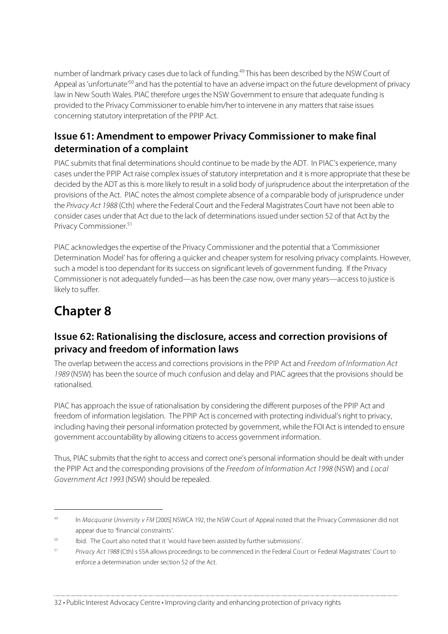number of landmark privacy cases due to lack of funding.<sup>49</sup>This has been described by the NSW Court of Appeal as 'unfortunate'<sup>50</sup> and has the potential to have an adverse impact on the future development of privacy law in New South Wales. PIAC therefore urges the NSW Government to ensure that adequate funding is provided to the Privacy Commissioner to enable him/her to intervene in any mattersthat raise issues concerning statutory interpretation of the PPIP Act.

## **Issue 61: Amendment to empower Privacy Commissioner to make final determination of a complaint**

PIAC submits that final determinations should continue to be made by the ADT. In PIAC's experience, many cases under the PPIP Act raise complex issues of statutory interpretation and it is more appropriate that these be decided by the ADT asthisis more likely to result in a solid body of jurisprudence about the interpretation of the provisions of the Act. PIAC notes the almost complete absence of a comparable body of jurisprudence under the Privacy Act 1988 (Cth) where the Federal Court and the Federal Magistrates Court have not been able to consider cases under that Act due to the lack of determinations issued under section 52 of that Act by the Privacy Commissioner. 51

PIAC acknowledgesthe expertise of the Privacy Commissioner and the potential that a 'Commissioner Determination Model' has for offering a quicker and cheaper system for resolving privacy complaints. However, such a model is too dependant for its success on significant levels of government funding. If the Privacy Commissioner is not adequately funded—as has been the case now, over many years—accessto justice is likely to suffer.

# **Chapter 8**

# **Issue 62: Rationalising the disclosure, access and correction provisions of privacy and freedom of information laws**

The overlap between the access and corrections provisions in the PPIP Act and Freedom of Information Act 1989 (NSW) has been the source of much confusion and delay and PIAC agreesthat the provisions should be rationalised.

PIAC has approach the issue of rationalisation by considering the different purposes of the PPIP Act and freedom of information legislation. The PPIP Act is concerned with protecting individual's right to privacy, including having their personal information protected by government, while the FOI Act isintended to ensure government accountability by allowing citizensto access government information.

Thus, PIAC submits that the right to access and correct one's personal information should be dealt with under the PPIP Act and the corresponding provisions of the Freedom of Information Act 1998 (NSW) and Local Government Act 1993 (NSW) should be repealed.

<sup>&</sup>lt;sup>49</sup> In Macquarie University v FM [2005] NSWCA 192, the NSW Court of Appeal noted that the Privacy Commissioner did not appear due to 'financial constraints'.

<sup>50</sup> Ibid. The Court also noted that it 'would have been assisted by further submissions'.

<sup>&</sup>lt;sup>51</sup> Privacy Act 1988 (Cth) s 55A allows proceedings to be commenced in the Federal Court or Federal Magistrates' Court to enforce a determination under section 52 of the Act.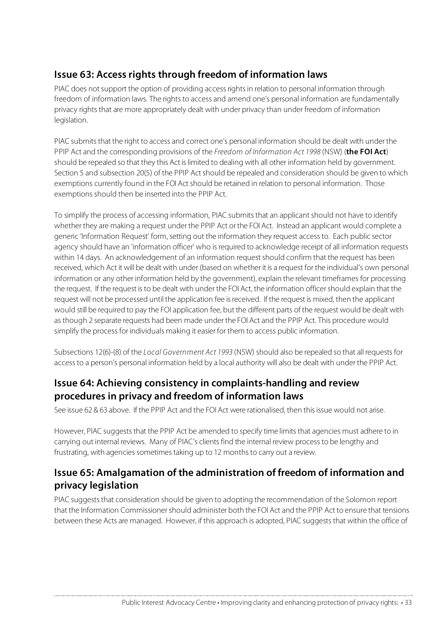# **Issue 63: Access rights through freedom of information laws**

PIAC does not support the option of providing access rights in relation to personal information through freedom of information laws. The rights to access and amend one's personal information are fundamentally privacy rights that are more appropriately dealt with under privacy than under freedom of information legislation.

PIAC submits that the right to access and correct one's personal information should be dealt with under the PPIP Act and the corresponding provisions of the Freedom of Information Act 1998 (NSW) (**the FOI Act**) should be repealed so that they this Act islimited to dealing with all other information held by government. Section 5 and subsection 20(5) of the PPIP Act should be repealed and consideration should be given to which exemptions currently found in the FOI Act should be retained in relation to personal information. Those exemptions should then be inserted into the PPIP Act.

To simplify the process of accessing information, PIAC submitsthat an applicantshould not have to identify whether they are making a request under the PPIP Act orthe FOI Act. Instead an applicant would complete a generic 'Information Request' form, setting out the information they request accessto. Each public sector agency should have an 'information officer' who isrequired to acknowledge receipt of all information requests within 14 days. An acknowledgement of an information request should confirm that the request has been received, which Act it will be dealt with under (based on whether it is a request for the individual's own personal information or any other information held by the government), explain the relevant timeframes for processing the request. If the request isto be dealt with under the FOI Act, the information officershould explain that the request will not be processed until the application fee isreceived. If the request is mixed, then the applicant would still be required to pay the FOI application fee, but the different parts of the request would be dealt with as though 2 separate requests had been made under the FOI Act and the PPIP Act. This procedure would simplify the process for individuals making it easier for them to access public information.

Subsections 12(6)-(8) of the Local Government Act 1993 (NSW) should also be repealed so that all requests for accessto a person's personal information held by a local authority will also be dealt with under the PPIP Act.

### **Issue 64: Achieving consistency in complaints-handling and review procedures in privacy and freedom of information laws**

See issue 62 & 63 above. If the PPIP Act and the FOI Act were rationalised, then thisissue would not arise.

However, PIAC suggests that the PPIP Act be amended to specify time limits that agencies must adhere to in carrying out internal reviews. Many of PIAC's clients find the internal review processto be lengthy and frustrating, with agencies sometimes taking up to 12 months to carry out a review.

### **Issue 65: Amalgamation of the administration of freedom of information and privacy legislation**

PIAC suggests that consideration should be given to adopting the recommendation of the Solomon report that the Information Commissionershould administer both the FOI Act and the PPIP Act to ensure that tensions between these Acts are managed. However, if this approach is adopted, PIAC suggests that within the office of